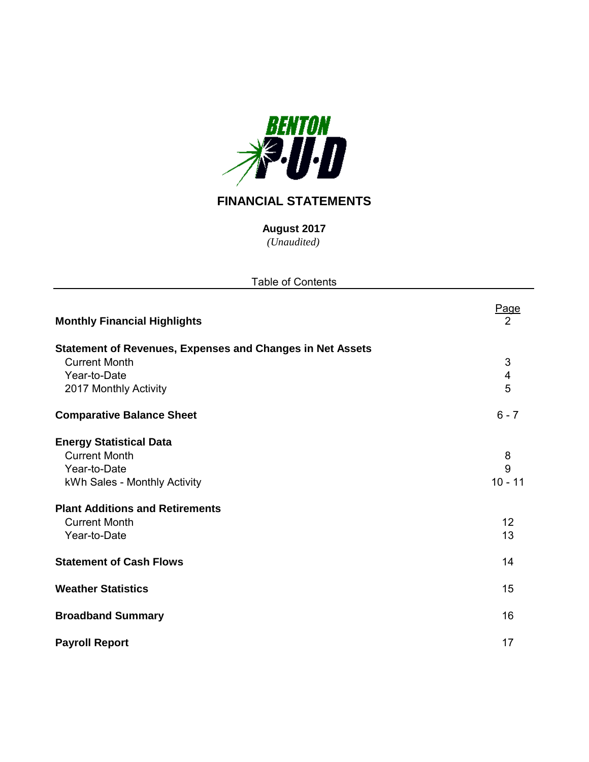

# **FINANCIAL STATEMENTS**

*(Unaudited)* **August 2017**

| <b>Table of Contents</b>                                         |                         |
|------------------------------------------------------------------|-------------------------|
| <b>Monthly Financial Highlights</b>                              | Page<br>$\overline{2}$  |
| <b>Statement of Revenues, Expenses and Changes in Net Assets</b> |                         |
| <b>Current Month</b>                                             | 3                       |
| Year-to-Date                                                     | $\overline{\mathbf{4}}$ |
| 2017 Monthly Activity                                            | 5                       |
| <b>Comparative Balance Sheet</b>                                 | $6 - 7$                 |
| <b>Energy Statistical Data</b>                                   |                         |
| <b>Current Month</b>                                             | 8                       |
| Year-to-Date                                                     | 9                       |
| kWh Sales - Monthly Activity                                     | $10 - 11$               |
| <b>Plant Additions and Retirements</b>                           |                         |
| <b>Current Month</b>                                             | 12                      |
| Year-to-Date                                                     | 13                      |
| <b>Statement of Cash Flows</b>                                   | 14                      |
| <b>Weather Statistics</b>                                        | 15                      |
| <b>Broadband Summary</b>                                         | 16                      |
| <b>Payroll Report</b>                                            | 17                      |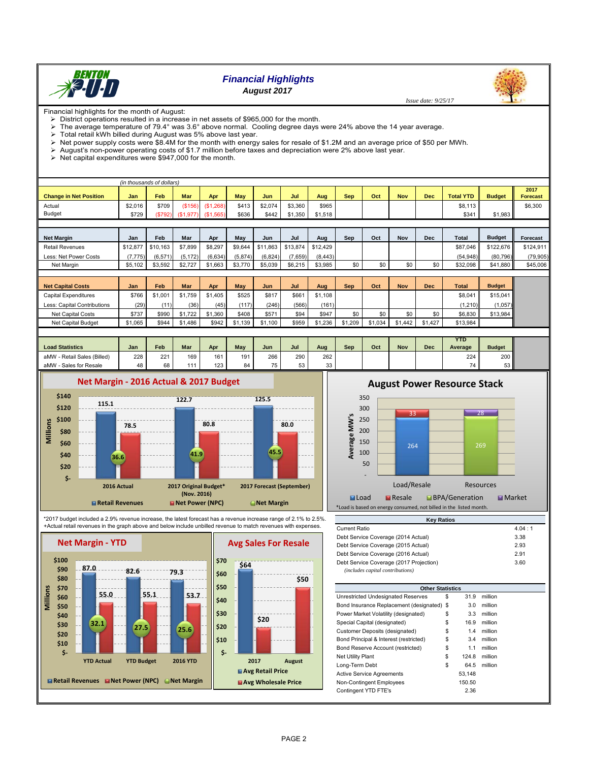

# *Financial Highlights*

*August 2017*

Financial highlights for the month of August:

 $\triangleright$  District operations resulted in a increase in net assets of \$965,000 for the month.

- The average temperature of 79.4° was 3.6° above normal. Cooling degree days were 24% above the 14 year average.<br>
> Total retail kWh billed during August was 5% above last year.
- 
- $\geq$  Total retail kWh billed during August was 5% above last year.<br> $\geq$  Net power supply costs were \$8.4M for the month with energy Net power supply costs were \$8.4M for the month with energy sales for resale of \$1.2M and an average price of \$50 per MWh.
- August's non-power operating costs of \$1.7 million before taxes and depreciation were 2% above last year.
- $\triangleright$  Net capital expenditures were \$947,000 for the month.

| (in thousands of dollars) |       |            |           |            |           |         |         |            |     |            |     |         |                  |                                       |
|---------------------------|-------|------------|-----------|------------|-----------|---------|---------|------------|-----|------------|-----|---------|------------------|---------------------------------------|
|                           |       |            |           |            |           |         |         |            |     |            |     |         |                  | 2017                                  |
| Jan                       | Feb   | <b>Mar</b> | Apr       | <b>May</b> | Jun       | Jul     | Aug     | <b>Sep</b> | Oct | <b>Nov</b> | Dec |         |                  | <b>Forecast</b>                       |
| \$2,016                   | \$709 | (S156)     |           | \$413      | \$2.074   | \$3.360 | \$965   |            |     |            |     | \$8,113 |                  | \$6,300                               |
| \$729                     |       | (S1.977)   | (S1, 565) | \$636      | \$442     | \$1,350 | \$1.518 |            |     |            |     | \$341   |                  |                                       |
|                           |       |            | (\$792)   |            | (\$1,268) |         |         |            |     |            |     |         | <b>Total YTD</b> | <b>Budget</b><br>$$1.983$ $\parallel$ |

| <b>Net Margin</b>      | Jan      | Feb      | Mar     | Apr     | May     | Jun     | Jul                        | Aua     | Sep | Oct | Nov | Dec | <b>Total</b> | <b>Budget</b> | Forecast  |
|------------------------|----------|----------|---------|---------|---------|---------|----------------------------|---------|-----|-----|-----|-----|--------------|---------------|-----------|
| <b>Retail Revenues</b> | \$12,877 | \$10,163 | \$7,899 | \$8.297 | \$9.644 |         | \$11,863 \$13,874 \$12,429 |         |     |     |     |     | \$87.046     | \$122,676     | \$124,911 |
| Less: Net Power Costs  | (7.775)  | (6.571)  | (5.172) | (6.634) | (5.874) | (6.824) | (7,659)                    | (8.443) |     |     |     |     | (54.948)     | (80.796)      | (79.905)  |
| Net Margin             | \$5.102  | \$3.592  | \$2.727 | \$1,663 | \$3,770 | \$5.039 | \$6.215                    | \$3,985 | \$0 | \$0 | \$0 | \$0 | \$32.098     | \$41.880      | \$45,006  |

| <b>Net Capital Costs</b>    | Jan     | Feb     | <b>Mar</b> | Apr     | Mav     | Jun     | Jul   | Aug     | Sep     | Oct        | Nov     | <b>Dec</b> | <b>Total</b> | <b>Budget</b> |
|-----------------------------|---------|---------|------------|---------|---------|---------|-------|---------|---------|------------|---------|------------|--------------|---------------|
| Capital Expenditures        | \$766   | \$1,001 | \$1,759    | \$1,405 | \$525   | \$817   | \$661 | \$1,108 |         |            |         |            | \$8.04       | \$15,041      |
| Less: Capital Contributions | (29)    | (11)    | (36)       | (45)    | (117)   | (246)   | (566) | (161)   |         |            |         |            | (1.210)      | (1,057)       |
| Net Capital Costs           | \$737   | \$990   | \$1,722    | \$1,360 | \$408   | \$571   | \$94  | \$947   | \$0     | <b>90.</b> | \$0     | \$0        | \$6,830      | \$13,984      |
| Net Capital Budget          | \$1,065 | \$944   | \$1,486    | \$942   | \$1,139 | \$1,100 | \$959 | \$1.236 | \$1.209 | \$1.034    | \$1,442 | \$1,427    | \$13.984     |               |

| <b>Load Statistics</b>           | Jan | Feb | <b>Mar</b> | Apr | May | Jun | Jul | Aug | Sep | Oct | Nov | Dec | <b>YTD</b><br>Average | <b>Budget</b> |
|----------------------------------|-----|-----|------------|-----|-----|-----|-----|-----|-----|-----|-----|-----|-----------------------|---------------|
| / - Retail Sales (Billed)<br>aMW | 228 | 221 | 169        | 161 | 191 | 266 | 290 | 262 |     |     |     |     | 224                   | 200           |
| Sales for Resale<br>aMW          | 48  | 68  |            | 123 | 84  | 75  | 53  | 33  |     |     |     |     |                       | -^<br>ວວ ။    |



\*2017 budget included a 2.9% revenue increase, the latest forecast has a revenue increase range of 2.1% to 2.5%. +Actual retail revenues in the graph above and below include unbilled revenue to match revenues with expenses.





| -----------                             | .    |
|-----------------------------------------|------|
| Debt Service Coverage (2014 Actual)     | 3.38 |
| Debt Service Coverage (2015 Actual)     | 2.93 |
| Debt Service Coverage (2016 Actual)     | 2.91 |
| Debt Service Coverage (2017 Projection) | 3.60 |
| (includes capital contributions)        |      |

**Key Ratios**

| <b>Other Statistics</b>                    |             |         |
|--------------------------------------------|-------------|---------|
| Unrestricted Undesignated Reserves         | \$<br>31.9  | million |
| Bond Insurance Replacement (designated) \$ | 3.0         | million |
| Power Market Volatility (designated)       | \$<br>3.3   | million |
| Special Capital (designated)               | \$<br>16.9  | million |
| Customer Deposits (designated)             | \$<br>1.4   | million |
| Bond Principal & Interest (restricted)     | \$<br>3.4   | million |
| Bond Reserve Account (restricted)          | \$<br>1.1   | million |
| <b>Net Utility Plant</b>                   | \$<br>124.8 | million |
| Long-Term Debt                             | \$<br>64.5  | million |
| <b>Active Service Agreements</b>           | 53.148      |         |
| Non-Contingent Employees                   | 150.50      |         |
| Contingent YTD FTE's                       | 2.36        |         |
|                                            |             |         |

# **August Power Resource Stack**

 *Issue date: 9/25/17*



PAGE 2

**\$50**

**\$20**

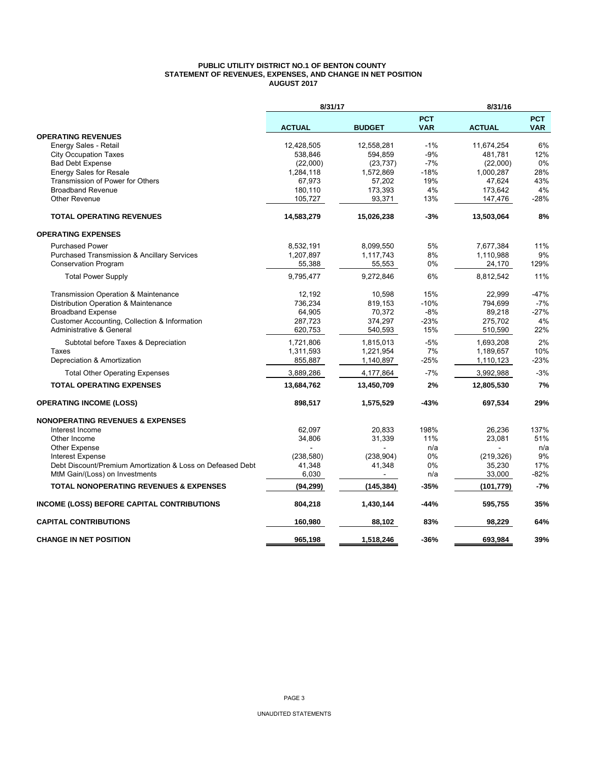#### **PUBLIC UTILITY DISTRICT NO.1 OF BENTON COUNTY STATEMENT OF REVENUES, EXPENSES, AND CHANGE IN NET POSITION AUGUST 2017**

|                                                            | 8/31/17       |               |                          | 8/31/16       |                          |
|------------------------------------------------------------|---------------|---------------|--------------------------|---------------|--------------------------|
|                                                            | <b>ACTUAL</b> | <b>BUDGET</b> | <b>PCT</b><br><b>VAR</b> | <b>ACTUAL</b> | <b>PCT</b><br><b>VAR</b> |
| <b>OPERATING REVENUES</b>                                  |               |               |                          |               |                          |
| Energy Sales - Retail                                      | 12,428,505    | 12,558,281    | $-1%$                    | 11,674,254    | 6%                       |
| <b>City Occupation Taxes</b>                               | 538,846       | 594,859       | $-9%$                    | 481,781       | 12%                      |
| <b>Bad Debt Expense</b>                                    | (22,000)      | (23, 737)     | $-7%$                    | (22,000)      | 0%                       |
| Energy Sales for Resale                                    | 1,284,118     | 1,572,869     | $-18%$                   | 1,000,287     | 28%                      |
| Transmission of Power for Others                           | 67,973        | 57,202        | 19%                      | 47,624        | 43%                      |
| <b>Broadband Revenue</b>                                   | 180,110       | 173,393       | 4%                       | 173,642       | 4%                       |
| <b>Other Revenue</b>                                       | 105,727       | 93,371        | 13%                      | 147,476       | $-28%$                   |
| <b>TOTAL OPERATING REVENUES</b>                            | 14,583,279    | 15,026,238    | $-3%$                    | 13,503,064    | 8%                       |
| <b>OPERATING EXPENSES</b>                                  |               |               |                          |               |                          |
| <b>Purchased Power</b>                                     | 8,532,191     | 8,099,550     | 5%                       | 7,677,384     | 11%                      |
| <b>Purchased Transmission &amp; Ancillary Services</b>     | 1,207,897     | 1,117,743     | 8%                       | 1,110,988     | 9%                       |
| <b>Conservation Program</b>                                | 55,388        | 55,553        | 0%                       | 24,170        | 129%                     |
| <b>Total Power Supply</b>                                  | 9,795,477     | 9,272,846     | 6%                       | 8,812,542     | 11%                      |
| Transmission Operation & Maintenance                       | 12,192        | 10,598        | 15%                      | 22,999        | $-47%$                   |
| Distribution Operation & Maintenance                       | 736,234       | 819,153       | $-10%$                   | 794,699       | $-7%$                    |
| <b>Broadband Expense</b>                                   | 64,905        | 70,372        | $-8%$                    | 89,218        | $-27%$                   |
| Customer Accounting, Collection & Information              | 287,723       | 374,297       | $-23%$                   | 275,702       | 4%                       |
| Administrative & General                                   | 620,753       | 540,593       | 15%                      | 510,590       | 22%                      |
| Subtotal before Taxes & Depreciation                       | 1,721,806     | 1,815,013     | $-5%$                    | 1,693,208     | 2%                       |
| Taxes                                                      | 1,311,593     | 1,221,954     | 7%                       | 1,189,657     | 10%                      |
| Depreciation & Amortization                                | 855,887       | 1,140,897     | -25%                     | 1,110,123     | -23%                     |
| <b>Total Other Operating Expenses</b>                      | 3,889,286     | 4,177,864     | $-7%$                    | 3,992,988     | $-3%$                    |
| <b>TOTAL OPERATING EXPENSES</b>                            | 13,684,762    | 13,450,709    | 2%                       | 12,805,530    | 7%                       |
| <b>OPERATING INCOME (LOSS)</b>                             | 898,517       | 1,575,529     | -43%                     | 697,534       | 29%                      |
| <b>NONOPERATING REVENUES &amp; EXPENSES</b>                |               |               |                          |               |                          |
| Interest Income                                            | 62,097        | 20,833        | 198%                     | 26,236        | 137%                     |
| Other Income                                               | 34,806        | 31,339        | 11%                      | 23,081        | 51%                      |
| <b>Other Expense</b>                                       |               |               | n/a                      |               | n/a                      |
| <b>Interest Expense</b>                                    | (238, 580)    | (238, 904)    | 0%                       | (219, 326)    | 9%                       |
| Debt Discount/Premium Amortization & Loss on Defeased Debt | 41,348        | 41,348        | 0%                       | 35,230        | 17%                      |
| MtM Gain/(Loss) on Investments                             | 6,030         |               | n/a                      | 33,000        | $-82%$                   |
| <b>TOTAL NONOPERATING REVENUES &amp; EXPENSES</b>          | (94, 299)     | (145, 384)    | -35%                     | (101, 779)    | $-7%$                    |
| INCOME (LOSS) BEFORE CAPITAL CONTRIBUTIONS                 | 804,218       | 1,430,144     | -44%                     | 595,755       | 35%                      |
| <b>CAPITAL CONTRIBUTIONS</b>                               | 160,980       | 88,102        | 83%                      | 98,229        | 64%                      |
| <b>CHANGE IN NET POSITION</b>                              | 965.198       | 1.518.246     | $-36%$                   | 693.984       | 39%                      |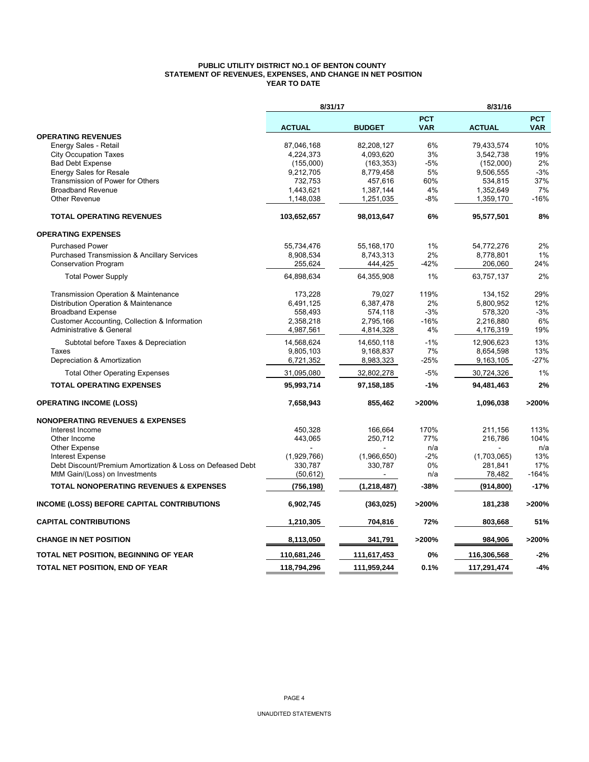#### **PUBLIC UTILITY DISTRICT NO.1 OF BENTON COUNTY STATEMENT OF REVENUES, EXPENSES, AND CHANGE IN NET POSITION YEAR TO DATE**

|                                                            | 8/31/17       |               |                          | 8/31/16       |                          |
|------------------------------------------------------------|---------------|---------------|--------------------------|---------------|--------------------------|
|                                                            | <b>ACTUAL</b> | <b>BUDGET</b> | <b>PCT</b><br><b>VAR</b> | <b>ACTUAL</b> | <b>PCT</b><br><b>VAR</b> |
| <b>OPERATING REVENUES</b>                                  |               |               |                          |               |                          |
| Energy Sales - Retail                                      | 87,046,168    | 82,208,127    | 6%                       | 79,433,574    | 10%                      |
| <b>City Occupation Taxes</b>                               | 4,224,373     | 4,093,620     | 3%                       | 3,542,738     | 19%                      |
| <b>Bad Debt Expense</b>                                    | (155,000)     | (163, 353)    | $-5%$                    | (152,000)     | 2%                       |
| <b>Energy Sales for Resale</b>                             | 9,212,705     | 8,779,458     | 5%                       | 9,506,555     | $-3%$                    |
| Transmission of Power for Others                           | 732,753       | 457,616       | 60%                      | 534,815       | 37%                      |
| <b>Broadband Revenue</b>                                   | 1,443,621     | 1,387,144     | 4%                       | 1,352,649     | 7%                       |
| <b>Other Revenue</b>                                       | 1,148,038     | 1,251,035     | $-8%$                    | 1,359,170     | $-16%$                   |
| <b>TOTAL OPERATING REVENUES</b>                            | 103,652,657   | 98,013,647    | 6%                       | 95,577,501    | 8%                       |
| <b>OPERATING EXPENSES</b>                                  |               |               |                          |               |                          |
| <b>Purchased Power</b>                                     | 55,734,476    | 55,168,170    | 1%                       | 54,772,276    | 2%                       |
| <b>Purchased Transmission &amp; Ancillary Services</b>     | 8,908,534     | 8,743,313     | 2%                       | 8,778,801     | 1%                       |
| <b>Conservation Program</b>                                | 255,624       | 444,425       | $-42%$                   | 206,060       | 24%                      |
| <b>Total Power Supply</b>                                  | 64,898,634    | 64,355,908    | $1\%$                    | 63,757,137    | 2%                       |
| Transmission Operation & Maintenance                       | 173,228       | 79,027        | 119%                     | 134,152       | 29%                      |
| Distribution Operation & Maintenance                       | 6,491,125     | 6,387,478     | 2%                       | 5,800,952     | 12%                      |
| <b>Broadband Expense</b>                                   | 558,493       | 574,118       | $-3%$                    | 578,320       | $-3%$                    |
| Customer Accounting, Collection & Information              | 2,358,218     | 2,795,166     | $-16%$                   | 2,216,880     | 6%                       |
| Administrative & General                                   | 4,987,561     | 4,814,328     | 4%                       | 4,176,319     | 19%                      |
| Subtotal before Taxes & Depreciation                       | 14,568,624    | 14,650,118    | $-1%$                    | 12,906,623    | 13%                      |
| Taxes                                                      | 9,805,103     | 9,168,837     | 7%                       | 8,654,598     | 13%                      |
| Depreciation & Amortization                                | 6,721,352     | 8,983,323     | -25%                     | 9,163,105     | $-27%$                   |
| <b>Total Other Operating Expenses</b>                      | 31,095,080    | 32,802,278    | $-5%$                    | 30,724,326    | 1%                       |
| <b>TOTAL OPERATING EXPENSES</b>                            | 95,993,714    | 97,158,185    | $-1%$                    | 94,481,463    | 2%                       |
| <b>OPERATING INCOME (LOSS)</b>                             | 7,658,943     | 855,462       | >200%                    | 1,096,038     | >200%                    |
| <b>NONOPERATING REVENUES &amp; EXPENSES</b>                |               |               |                          |               |                          |
| Interest Income                                            | 450,328       | 166,664       | 170%                     | 211,156       | 113%                     |
| Other Income                                               | 443,065       | 250,712       | 77%                      | 216,786       | 104%                     |
| Other Expense                                              |               |               | n/a                      |               | n/a                      |
| <b>Interest Expense</b>                                    | (1,929,766)   | (1,966,650)   | $-2%$                    | (1,703,065)   | 13%                      |
| Debt Discount/Premium Amortization & Loss on Defeased Debt | 330,787       | 330,787       | 0%                       | 281,841       | 17%                      |
| MtM Gain/(Loss) on Investments                             | (50, 612)     |               | n/a                      | 78,482        | $-164%$                  |
| <b>TOTAL NONOPERATING REVENUES &amp; EXPENSES</b>          | (756,198)     | (1, 218, 487) | -38%                     | (914, 800)    | $-17%$                   |
| <b>INCOME (LOSS) BEFORE CAPITAL CONTRIBUTIONS</b>          | 6,902,745     | (363, 025)    | >200%                    | 181,238       | >200%                    |
| <b>CAPITAL CONTRIBUTIONS</b>                               | 1,210,305     | 704,816       | 72%                      | 803,668       | 51%                      |
| <b>CHANGE IN NET POSITION</b>                              | 8,113,050     | 341,791       | >200%                    | 984,906       | >200%                    |
| TOTAL NET POSITION, BEGINNING OF YEAR                      | 110,681,246   | 111,617,453   | 0%                       | 116,306,568   | $-2%$                    |
| TOTAL NET POSITION, END OF YEAR                            | 118,794,296   | 111,959,244   | 0.1%                     | 117,291,474   | $-4%$                    |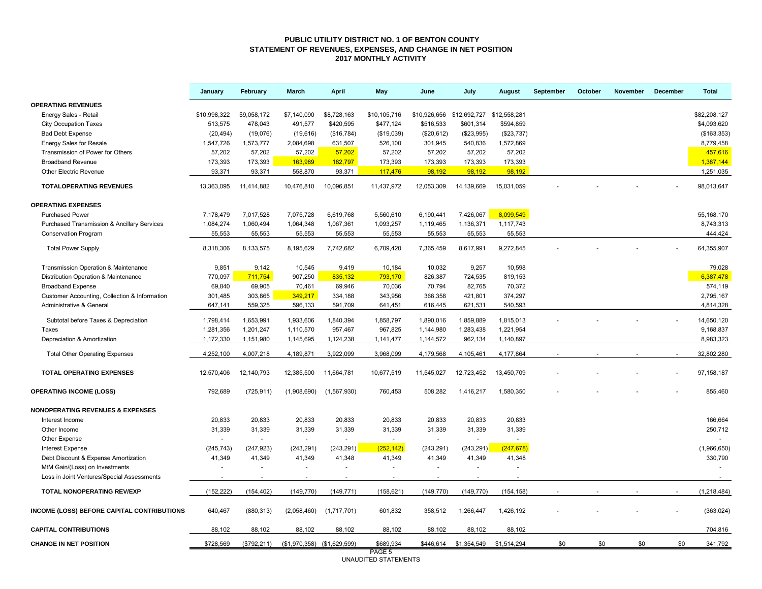#### **PUBLIC UTILITY DISTRICT NO. 1 OF BENTON COUNTY STATEMENT OF REVENUES, EXPENSES, AND CHANGE IN NET POSITION 2017 MONTHLY ACTIVITY**

|                                                        | January      | February     | March                         | <b>April</b> | May                            | June         | July         | August       | September | October | November | <b>December</b> | <b>Total</b>  |
|--------------------------------------------------------|--------------|--------------|-------------------------------|--------------|--------------------------------|--------------|--------------|--------------|-----------|---------|----------|-----------------|---------------|
| <b>OPERATING REVENUES</b>                              |              |              |                               |              |                                |              |              |              |           |         |          |                 |               |
| Energy Sales - Retail                                  | \$10,998,322 | \$9,058,172  | \$7,140,090                   | \$8,728,163  | \$10,105,716                   | \$10,926,656 | \$12,692,727 | \$12,558,281 |           |         |          |                 | \$82,208,127  |
| <b>City Occupation Taxes</b>                           | 513,575      | 478,043      | 491,577                       | \$420,595    | \$477,124                      | \$516,533    | \$601,314    | \$594,859    |           |         |          |                 | \$4,093,620   |
| <b>Bad Debt Expense</b>                                | (20, 494)    | (19,076)     | (19,616)                      | (\$16,784)   | (\$19,039)                     | (\$20,612)   | (\$23,995)   | (\$23,737)   |           |         |          |                 | (\$163,353)   |
| Energy Sales for Resale                                | 1,547,726    | 1,573,777    | 2,084,698                     | 631,507      | 526,100                        | 301,945      | 540,836      | 1,572,869    |           |         |          |                 | 8,779,458     |
| Transmission of Power for Others                       | 57,202       | 57,202       | 57,202                        | 57,202       | 57,202                         | 57,202       | 57,202       | 57,202       |           |         |          |                 | 457,616       |
| <b>Broadband Revenue</b>                               | 173,393      | 173,393      | 163,989                       | 182,797      | 173,393                        | 173,393      | 173,393      | 173,393      |           |         |          |                 | 1,387,144     |
| <b>Other Electric Revenue</b>                          | 93,371       | 93,371       | 558,870                       | 93,371       | 117,476                        | 98.192       | 98.192       | 98.192       |           |         |          |                 | 1,251,035     |
| <b>TOTALOPERATING REVENUES</b>                         | 13,363,095   | 11,414,882   | 10,476,810                    | 10,096,851   | 11,437,972                     | 12,053,309   | 14,139,669   | 15,031,059   |           |         |          |                 | 98,013,647    |
| <b>OPERATING EXPENSES</b>                              |              |              |                               |              |                                |              |              |              |           |         |          |                 |               |
| <b>Purchased Power</b>                                 | 7,178,479    | 7,017,528    | 7,075,728                     | 6,619,768    | 5,560,610                      | 6,190,441    | 7,426,067    | 8,099,549    |           |         |          |                 | 55, 168, 170  |
| <b>Purchased Transmission &amp; Ancillary Services</b> | 1,084,274    | 1,060,494    | 1,064,348                     | 1,067,361    | 1,093,257                      | 1,119,465    | 1,136,371    | 1,117,743    |           |         |          |                 | 8,743,313     |
| <b>Conservation Program</b>                            | 55,553       | 55,553       | 55,553                        | 55,553       | 55,553                         | 55,553       | 55,553       | 55,553       |           |         |          |                 | 444,424       |
| <b>Total Power Supply</b>                              | 8,318,306    | 8,133,575    | 8,195,629                     | 7,742,682    | 6,709,420                      | 7,365,459    | 8,617,991    | 9,272,845    |           |         |          |                 | 64,355,907    |
| Transmission Operation & Maintenance                   | 9,851        | 9,142        | 10,545                        | 9,419        | 10,184                         | 10,032       | 9,257        | 10,598       |           |         |          |                 | 79,028        |
| Distribution Operation & Maintenance                   | 770,097      | 711,754      | 907,250                       | 835,132      | 793,170                        | 826,387      | 724,535      | 819,153      |           |         |          |                 | 6,387,478     |
| <b>Broadband Expense</b>                               | 69,840       | 69,905       | 70,461                        | 69,946       | 70,036                         | 70,794       | 82,765       | 70,372       |           |         |          |                 | 574,119       |
| Customer Accounting, Collection & Information          | 301,485      | 303,865      | 349,217                       | 334,188      | 343,956                        | 366,358      | 421,801      | 374,297      |           |         |          |                 | 2,795,167     |
| Administrative & General                               | 647,141      | 559,325      | 596,133                       | 591,709      | 641,451                        | 616,445      | 621,531      | 540,593      |           |         |          |                 | 4,814,328     |
| Subtotal before Taxes & Depreciation                   | 1,798,414    | 1,653,991    | 1,933,606                     | 1,840,394    | 1,858,797                      | 1,890,016    | 1,859,889    | 1,815,013    |           |         |          |                 | 14,650,120    |
| <b>Taxes</b>                                           | 1,281,356    | 1,201,247    | 1,110,570                     | 957,467      | 967,825                        | 1,144,980    | 1,283,438    | 1,221,954    |           |         |          |                 | 9,168,837     |
| Depreciation & Amortization                            | 1,172,330    | 1,151,980    | 1,145,695                     | 1,124,238    | 1,141,477                      | 1,144,572    | 962,134      | 1,140,897    |           |         |          |                 | 8,983,323     |
| <b>Total Other Operating Expenses</b>                  | 4,252,100    | 4,007,218    | 4,189,871                     | 3,922,099    | 3,968,099                      | 4,179,568    | 4,105,461    | 4,177,864    |           |         |          |                 | 32,802,280    |
|                                                        |              |              |                               |              |                                |              |              |              |           |         |          |                 |               |
| <b>TOTAL OPERATING EXPENSES</b>                        | 12,570,406   | 12, 140, 793 | 12,385,500                    | 11,664,781   | 10,677,519                     | 11,545,027   | 12,723,452   | 13,450,709   |           |         |          |                 | 97, 158, 187  |
| <b>OPERATING INCOME (LOSS)</b>                         | 792,689      | (725, 911)   | (1,908,690)                   | (1,567,930)  | 760,453                        | 508,282      | 1,416,217    | 1,580,350    |           |         |          |                 | 855,460       |
| <b>NONOPERATING REVENUES &amp; EXPENSES</b>            |              |              |                               |              |                                |              |              |              |           |         |          |                 |               |
| Interest Income                                        | 20,833       | 20,833       | 20,833                        | 20,833       | 20,833                         | 20,833       | 20,833       | 20,833       |           |         |          |                 | 166,664       |
| Other Income                                           | 31,339       | 31,339       | 31,339                        | 31,339       | 31,339                         | 31,339       | 31,339       | 31,339       |           |         |          |                 | 250,712       |
| Other Expense                                          |              | $\sim$       |                               |              | $\sim$                         |              |              | $\sim$       |           |         |          |                 |               |
| <b>Interest Expense</b>                                | (245, 743)   | (247, 923)   | (243, 291)                    | (243, 291)   | (252, 142)                     | (243, 291)   | (243, 291)   | (247, 678)   |           |         |          |                 | (1,966,650)   |
| Debt Discount & Expense Amortization                   | 41,349       | 41,349       | 41,349                        | 41,348       | 41,349                         | 41,349       | 41,349       | 41,348       |           |         |          |                 | 330,790       |
| MtM Gain/(Loss) on Investments                         |              |              |                               |              |                                |              |              |              |           |         |          |                 |               |
| Loss in Joint Ventures/Special Assessments             |              |              |                               |              |                                |              |              |              |           |         |          |                 |               |
| TOTAL NONOPERATING REV/EXP                             | (152, 222)   | (154, 402)   | (149, 770)                    | (149, 771)   | (158, 621)                     | (149, 770)   | (149, 770)   | (154, 158)   |           |         |          |                 | (1, 218, 484) |
| INCOME (LOSS) BEFORE CAPITAL CONTRIBUTIONS             | 640.467      | (880, 313)   | (2,058,460)                   | (1,717,701)  | 601,832                        | 358.512      | 1,266,447    | 1,426,192    |           |         |          |                 | (363, 024)    |
| <b>CAPITAL CONTRIBUTIONS</b>                           | 88,102       | 88,102       | 88,102                        | 88,102       | 88,102                         | 88,102       | 88,102       | 88,102       |           |         |          |                 | 704,816       |
| <b>CHANGE IN NET POSITION</b>                          | \$728,569    | (\$792, 211) | $($1,970,358)$ $($1,629,599)$ |              | \$689,934                      | \$446,614    | \$1,354,549  | \$1,514,294  | \$0       | \$0     | \$0      | \$0             | 341,792       |
|                                                        |              |              |                               |              | PAGE 5<br>UNAUDITED STATEMENTS |              |              |              |           |         |          |                 |               |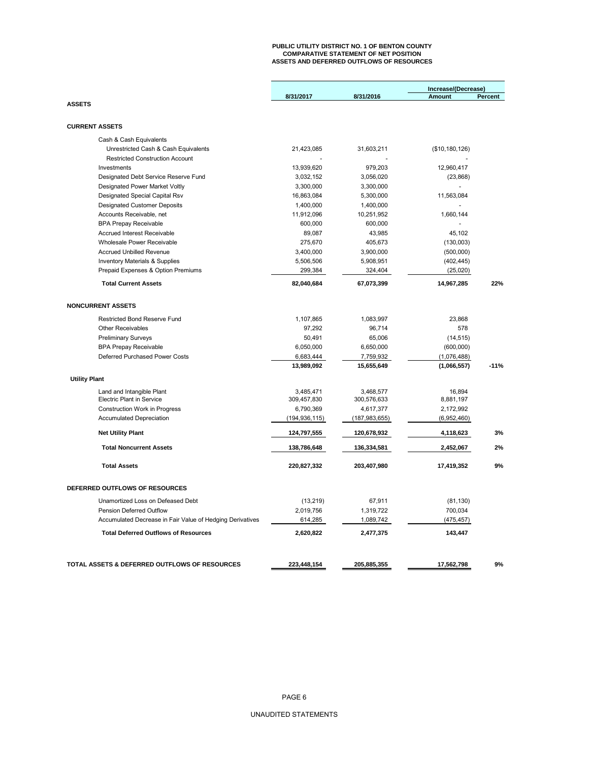# **PUBLIC UTILITY DISTRICT NO. 1 OF BENTON COUNTY COMPARATIVE STATEMENT OF NET POSITION ASSETS AND DEFERRED OUTFLOWS OF RESOURCES**

|                                                           |                 |                 | Increase/(Decrease) |                |
|-----------------------------------------------------------|-----------------|-----------------|---------------------|----------------|
|                                                           | 8/31/2017       | 8/31/2016       | Amount              | <b>Percent</b> |
| <b>ASSETS</b>                                             |                 |                 |                     |                |
|                                                           |                 |                 |                     |                |
| <b>CURRENT ASSETS</b>                                     |                 |                 |                     |                |
| Cash & Cash Equivalents                                   |                 |                 |                     |                |
| Unrestricted Cash & Cash Equivalents                      | 21,423,085      | 31,603,211      | (\$10, 180, 126)    |                |
| <b>Restricted Construction Account</b>                    |                 |                 |                     |                |
| Investments                                               | 13,939,620      | 979,203         | 12,960,417          |                |
| Designated Debt Service Reserve Fund                      | 3,032,152       | 3,056,020       | (23, 868)           |                |
| <b>Designated Power Market Voltly</b>                     | 3,300,000       | 3,300,000       |                     |                |
| Designated Special Capital Rsv                            | 16,863,084      | 5,300,000       | 11,563,084          |                |
| <b>Designated Customer Deposits</b>                       | 1,400,000       | 1,400,000       |                     |                |
| Accounts Receivable, net                                  | 11,912,096      | 10,251,952      | 1,660,144           |                |
| <b>BPA Prepay Receivable</b>                              | 600,000         | 600,000         |                     |                |
| <b>Accrued Interest Receivable</b>                        | 89,087          | 43,985          | 45,102              |                |
| Wholesale Power Receivable                                | 275,670         | 405,673         | (130,003)           |                |
| <b>Accrued Unbilled Revenue</b>                           | 3,400,000       | 3,900,000       | (500,000)           |                |
| <b>Inventory Materials &amp; Supplies</b>                 | 5,506,506       | 5,908,951       | (402, 445)          |                |
| Prepaid Expenses & Option Premiums                        | 299,384         | 324,404         | (25,020)            |                |
| <b>Total Current Assets</b>                               | 82,040,684      | 67,073,399      | 14,967,285          | 22%            |
| <b>NONCURRENT ASSETS</b>                                  |                 |                 |                     |                |
|                                                           |                 |                 |                     |                |
| <b>Restricted Bond Reserve Fund</b>                       | 1,107,865       | 1,083,997       | 23,868              |                |
| <b>Other Receivables</b>                                  | 97,292          | 96.714          | 578                 |                |
| <b>Preliminary Surveys</b>                                | 50,491          | 65,006          | (14, 515)           |                |
| <b>BPA Prepay Receivable</b>                              | 6,050,000       | 6,650,000       | (600,000)           |                |
| Deferred Purchased Power Costs                            | 6,683,444       | 7,759,932       | (1,076,488)         |                |
|                                                           | 13,989,092      | 15,655,649      | (1,066,557)         | $-11%$         |
| <b>Utility Plant</b>                                      |                 |                 |                     |                |
| Land and Intangible Plant                                 | 3,485,471       | 3,468,577       | 16.894              |                |
| <b>Electric Plant in Service</b>                          | 309,457,830     | 300,576,633     | 8,881,197           |                |
| <b>Construction Work in Progress</b>                      | 6,790,369       | 4,617,377       | 2,172,992           |                |
| <b>Accumulated Depreciation</b>                           | (194, 936, 115) | (187, 983, 655) | (6,952,460)         |                |
| <b>Net Utility Plant</b>                                  | 124,797,555     | 120,678,932     | 4,118,623           | 3%             |
| <b>Total Noncurrent Assets</b>                            | 138,786,648     | 136,334,581     | 2,452,067           | 2%             |
| <b>Total Assets</b>                                       | 220,827,332     | 203,407,980     | 17,419,352          | 9%             |
|                                                           |                 |                 |                     |                |
| DEFERRED OUTFLOWS OF RESOURCES                            |                 |                 |                     |                |
| Unamortized Loss on Defeased Debt                         | (13, 219)       | 67,911          | (81, 130)           |                |
| Pension Deferred Outflow                                  | 2,019,756       | 1,319,722       | 700,034             |                |
| Accumulated Decrease in Fair Value of Hedging Derivatives | 614,285         | 1,089,742       | (475, 457)          |                |
| <b>Total Deferred Outflows of Resources</b>               | 2,620,822       | 2,477,375       | 143,447             |                |
|                                                           |                 |                 |                     |                |
| TOTAL ASSETS & DEFERRED OUTFLOWS OF RESOURCES             | 223,448,154     | 205,885,355     | 17,562,798          | 9%             |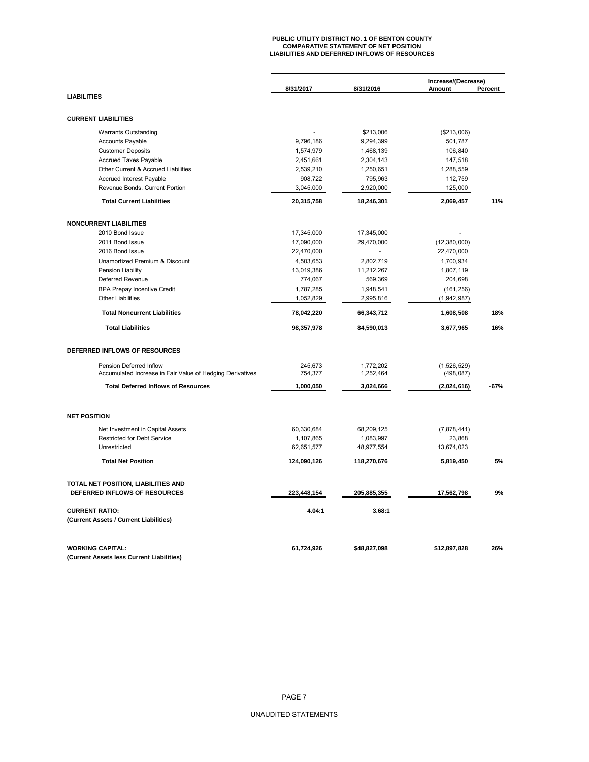# **PUBLIC UTILITY DISTRICT NO. 1 OF BENTON COUNTY COMPARATIVE STATEMENT OF NET POSITION LIABILITIES AND DEFERRED INFLOWS OF RESOURCES**

|                                                           | 8/31/2017   | 8/31/2016    | Increase/(Decrease)<br>Amount | Percent |
|-----------------------------------------------------------|-------------|--------------|-------------------------------|---------|
| <b>LIABILITIES</b>                                        |             |              |                               |         |
| <b>CURRENT LIABILITIES</b>                                |             |              |                               |         |
| <b>Warrants Outstanding</b>                               |             | \$213,006    | (\$213,006)                   |         |
| <b>Accounts Payable</b>                                   | 9,796,186   | 9,294,399    | 501,787                       |         |
| <b>Customer Deposits</b>                                  | 1,574,979   | 1,468,139    | 106,840                       |         |
| <b>Accrued Taxes Payable</b>                              | 2,451,661   | 2,304,143    | 147,518                       |         |
| Other Current & Accrued Liabilities                       | 2,539,210   | 1,250,651    | 1,288,559                     |         |
| Accrued Interest Payable                                  | 908,722     | 795,963      | 112,759                       |         |
| Revenue Bonds, Current Portion                            | 3,045,000   | 2,920,000    | 125,000                       |         |
| <b>Total Current Liabilities</b>                          | 20,315,758  | 18,246,301   | 2,069,457                     | 11%     |
| <b>NONCURRENT LIABILITIES</b>                             |             |              |                               |         |
| 2010 Bond Issue                                           | 17,345,000  | 17,345,000   |                               |         |
| 2011 Bond Issue                                           | 17,090,000  | 29,470,000   | (12,380,000)                  |         |
| 2016 Bond Issue                                           | 22,470,000  |              | 22,470,000                    |         |
| Unamortized Premium & Discount                            | 4,503,653   | 2,802,719    | 1,700,934                     |         |
| Pension Liability                                         | 13,019,386  | 11,212,267   | 1,807,119                     |         |
| Deferred Revenue                                          | 774,067     | 569,369      | 204,698                       |         |
| <b>BPA Prepay Incentive Credit</b>                        | 1,787,285   | 1,948,541    | (161, 256)                    |         |
| <b>Other Liabilities</b>                                  | 1,052,829   | 2,995,816    | (1,942,987)                   |         |
|                                                           |             |              |                               |         |
| <b>Total Noncurrent Liabilities</b>                       | 78,042,220  | 66,343,712   | 1,608,508                     | 18%     |
| <b>Total Liabilities</b>                                  | 98,357,978  | 84,590,013   | 3,677,965                     | 16%     |
| DEFERRED INFLOWS OF RESOURCES                             |             |              |                               |         |
| Pension Deferred Inflow                                   | 245,673     | 1,772,202    | (1,526,529)                   |         |
| Accumulated Increase in Fair Value of Hedging Derivatives | 754,377     | 1,252,464    | (498, 087)                    |         |
| <b>Total Deferred Inflows of Resources</b>                | 1,000,050   | 3,024,666    | (2,024,616)                   | $-67%$  |
| <b>NET POSITION</b>                                       |             |              |                               |         |
| Net Investment in Capital Assets                          | 60,330,684  | 68,209,125   | (7,878,441)                   |         |
| <b>Restricted for Debt Service</b>                        | 1,107,865   | 1,083,997    | 23,868                        |         |
| Unrestricted                                              | 62,651,577  | 48,977,554   | 13,674,023                    |         |
| <b>Total Net Position</b>                                 | 124,090,126 | 118,270,676  | 5,819,450                     | 5%      |
| TOTAL NET POSITION, LIABILITIES AND                       |             |              |                               |         |
| DEFERRED INFLOWS OF RESOURCES                             | 223,448,154 | 205,885,355  | 17,562,798                    | 9%      |
| <b>CURRENT RATIO:</b>                                     | 4.04:1      | 3.68:1       |                               |         |
| (Current Assets / Current Liabilities)                    |             |              |                               |         |
| <b>WORKING CAPITAL:</b>                                   | 61,724,926  | \$48,827,098 | \$12,897,828                  | 26%     |
| (Current Assets less Current Liabilities)                 |             |              |                               |         |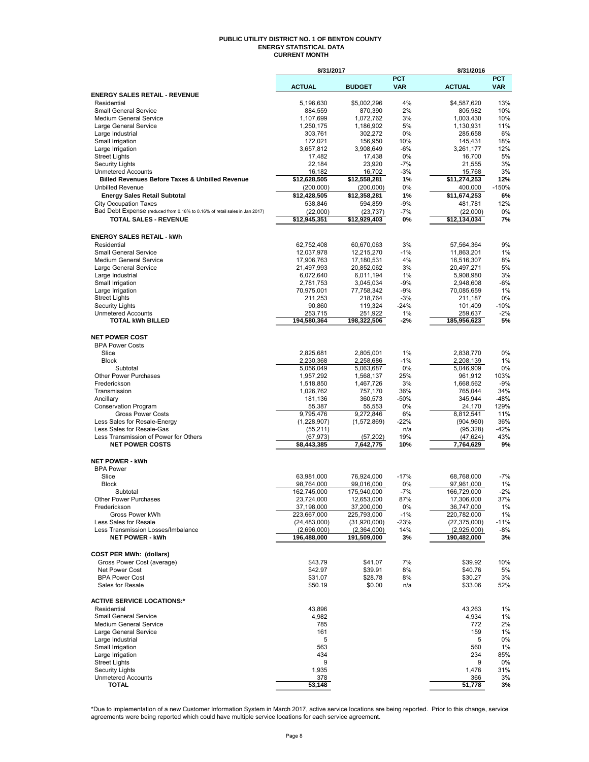#### **PUBLIC UTILITY DISTRICT NO. 1 OF BENTON COUNTY ENERGY STATISTICAL DATA CURRENT MONTH**

|                                                                                                            | 8/31/2017                |                           |               | 8/31/2016                 |               |
|------------------------------------------------------------------------------------------------------------|--------------------------|---------------------------|---------------|---------------------------|---------------|
|                                                                                                            |                          |                           | <b>PCT</b>    |                           | <b>PCT</b>    |
| <b>ENERGY SALES RETAIL - REVENUE</b>                                                                       | <b>ACTUAL</b>            | <b>BUDGET</b>             | <b>VAR</b>    | <b>ACTUAL</b>             | <b>VAR</b>    |
| Residential                                                                                                | 5,196,630                | \$5,002,296               | 4%            | \$4,587,620               | 13%           |
| <b>Small General Service</b>                                                                               | 884,559                  | 870,390                   | 2%            | 805,982                   | 10%           |
| Medium General Service                                                                                     | 1,107,699                | 1,072,762                 | 3%            | 1,003,430                 | 10%           |
| Large General Service                                                                                      | 1,250,175                | 1,186,902                 | 5%            | 1,130,931                 | 11%           |
| Large Industrial                                                                                           | 303,761                  | 302,272                   | 0%            | 285,658                   | 6%            |
| Small Irrigation<br>Large Irrigation                                                                       | 172,021<br>3,657,812     | 156,950<br>3,908,649      | 10%<br>$-6%$  | 145,431<br>3,261,177      | 18%<br>12%    |
| <b>Street Lights</b>                                                                                       | 17,482                   | 17,438                    | 0%            | 16,700                    | 5%            |
| <b>Security Lights</b>                                                                                     | 22,184                   | 23,920                    | $-7%$         | 21,555                    | 3%            |
| <b>Unmetered Accounts</b>                                                                                  | 16,182                   | 16,702                    | $-3%$         | 15,768                    | 3%            |
| <b>Billed Revenues Before Taxes &amp; Unbilled Revenue</b>                                                 | \$12,628,505             | \$12,558,281              | 1%            | \$11,274,253              | 12%           |
| <b>Unbilled Revenue</b>                                                                                    | (200,000)                | (200,000)                 | 0%            | 400,000                   | $-150%$       |
| <b>Energy Sales Retail Subtotal</b>                                                                        | \$12,428,505             | \$12,358,281              | 1%            | \$11,674,253              | 6%            |
| <b>City Occupation Taxes</b>                                                                               | 538,846                  | 594,859                   | $-9%$         | 481,781                   | 12%           |
| Bad Debt Expense (reduced from 0.18% to 0.16% of retail sales in Jan 2017)<br><b>TOTAL SALES - REVENUE</b> | (22,000)                 | (23, 737)                 | $-7%$         | (22,000)                  | 0%<br>7%      |
|                                                                                                            | \$12,945,351             | \$12,929,403              | 0%            | \$12,134,034              |               |
| <b>ENERGY SALES RETAIL - kWh</b>                                                                           |                          |                           |               |                           |               |
| Residential                                                                                                | 62,752,408               | 60,670,063                | 3%            | 57,564,364                | 9%            |
| <b>Small General Service</b>                                                                               | 12,037,978               | 12,215,270                | $-1%$         | 11,863,201                | 1%            |
| <b>Medium General Service</b>                                                                              | 17,906,763               | 17,180,531                | 4%            | 16,516,307                | 8%            |
| Large General Service                                                                                      | 21,497,993               | 20,852,062                | 3%            | 20,497,271                | 5%            |
| Large Industrial                                                                                           | 6,072,640                | 6,011,194                 | 1%            | 5,908,980                 | 3%            |
| Small Irrigation                                                                                           | 2,781,753                | 3,045,034                 | $-9%$         | 2,948,608                 | -6%           |
| Large Irrigation                                                                                           | 70,975,001               | 77,758,342                | $-9%$         | 70,085,659                | 1%            |
| <b>Street Lights</b><br><b>Security Lights</b>                                                             | 211,253<br>90,860        | 218,764<br>119,324        | $-3%$<br>-24% | 211,187<br>101,409        | 0%<br>$-10%$  |
| <b>Unmetered Accounts</b>                                                                                  | 253,715                  | 251,922                   | 1%            | 259,637                   | $-2%$         |
| <b>TOTAL kWh BILLED</b>                                                                                    | 194,580,364              | 198,322,506               | $-2%$         | 185,956,623               | 5%            |
|                                                                                                            |                          |                           |               |                           |               |
| <b>NET POWER COST</b>                                                                                      |                          |                           |               |                           |               |
| <b>BPA Power Costs</b>                                                                                     |                          |                           |               |                           |               |
| Slice                                                                                                      | 2,825,681                | 2,805,001                 | 1%            | 2,838,770                 | 0%            |
| <b>Block</b>                                                                                               | 2,230,368                | 2,258,686                 | $-1%$         | 2,208,139                 | 1%            |
| Subtotal<br>Other Power Purchases                                                                          | 5,056,049<br>1,957,292   | 5,063,687<br>1,568,137    | 0%<br>25%     | 5,046,909<br>961,912      | 0%<br>103%    |
| Frederickson                                                                                               | 1,518,850                | 1,467,726                 | 3%            | 1,668,562                 | $-9%$         |
| Transmission                                                                                               | 1,026,762                | 757,170                   | 36%           | 765,044                   | 34%           |
| Ancillary                                                                                                  | 181,136                  | 360,573                   | $-50%$        | 345,944                   | $-48%$        |
| <b>Conservation Program</b>                                                                                | 55,387                   | 55,553                    | 0%            | 24,170                    | 129%          |
| <b>Gross Power Costs</b>                                                                                   | 9,795,476                | 9,272,846                 | 6%            | 8,812,541                 | 11%           |
| Less Sales for Resale-Energy                                                                               | (1,228,907)              | (1,572,869)               | $-22%$        | (904, 960)                | 36%           |
| Less Sales for Resale-Gas<br>Less Transmission of Power for Others                                         | (55, 211)                |                           | n/a<br>19%    | (95, 328)                 | $-42%$<br>43% |
| <b>NET POWER COSTS</b>                                                                                     | (67, 973)<br>\$8,443,385 | (57, 202)<br>7,642,775    | 10%           | (47, 624)<br>7,764,629    | 9%            |
|                                                                                                            |                          |                           |               |                           |               |
| <b>NET POWER - kWh</b>                                                                                     |                          |                           |               |                           |               |
| <b>BPA Power</b>                                                                                           |                          |                           |               |                           |               |
| Slice                                                                                                      | 63,981,000               | 76,924,000                | $-17%$        | 68,768,000                | -7%           |
| <b>Block</b>                                                                                               | 98,764,000               | 99,016,000                | 0%            | 97,961,000                | 1%            |
| Subtotal                                                                                                   | 162,745,000              | 175,940,000               | $-7%$         | 166,729,000               | $-2%$         |
| Other Power Purchases                                                                                      | 23,724,000<br>37,198,000 | 12,653,000                | 87%           | 17,306,000                | 37%           |
| Frederickson<br>Gross Power kWh                                                                            | 223,667,000              | 37,200,000<br>225,793,000 | 0%<br>$-1%$   | 36,747,000<br>220,782,000 | 1%<br>1%      |
| Less Sales for Resale                                                                                      | (24, 483, 000)           | (31,920,000)              | $-23%$        | (27, 375, 000)            | $-11%$        |
| Less Transmission Losses/Imbalance                                                                         | (2,696,000)              | (2,364,000)               | 14%           | (2,925,000)               | -8%           |
| <b>NET POWER - kWh</b>                                                                                     | 196,488,000              | 191,509,000               | 3%            | 190,482,000               | 3%            |
|                                                                                                            |                          |                           |               |                           |               |
| <b>COST PER MWh: (dollars)</b>                                                                             |                          |                           |               |                           |               |
| Gross Power Cost (average)                                                                                 | \$43.79                  | \$41.07                   | 7%            | \$39.92                   | 10%           |
| Net Power Cost                                                                                             | \$42.97                  | \$39.91                   | 8%            | \$40.76                   | 5%            |
| <b>BPA Power Cost</b><br>Sales for Resale                                                                  | \$31.07<br>\$50.19       | \$28.78<br>\$0.00         | 8%<br>n/a     | \$30.27<br>\$33.06        | 3%<br>52%     |
|                                                                                                            |                          |                           |               |                           |               |
| <b>ACTIVE SERVICE LOCATIONS:*</b>                                                                          |                          |                           |               |                           |               |
| Residential                                                                                                | 43,896                   |                           |               | 43,263                    | 1%            |
| <b>Small General Service</b>                                                                               | 4,982                    |                           |               | 4,934                     | 1%            |
| Medium General Service                                                                                     | 785                      |                           |               | 772                       | 2%            |
| Large General Service                                                                                      | 161                      |                           |               | 159                       | 1%            |
| Large Industrial<br>Small Irrigation                                                                       | 5<br>563                 |                           |               | 5<br>560                  | 0%<br>1%      |
| Large Irrigation                                                                                           | 434                      |                           |               | 234                       | 85%           |
| <b>Street Lights</b>                                                                                       | 9                        |                           |               | 9                         | 0%            |
| <b>Security Lights</b>                                                                                     | 1,935                    |                           |               | 1,476                     | 31%           |
| <b>Unmetered Accounts</b>                                                                                  | 378                      |                           |               | 366                       | 3%            |
| <b>TOTAL</b>                                                                                               | 53,148                   |                           |               | 51,778                    | 3%            |

\*Due to implementation of a new Customer Information System in March 2017, active service locations are being reported. Prior to this change, service<br>agreements were being reported which could have multiple service locati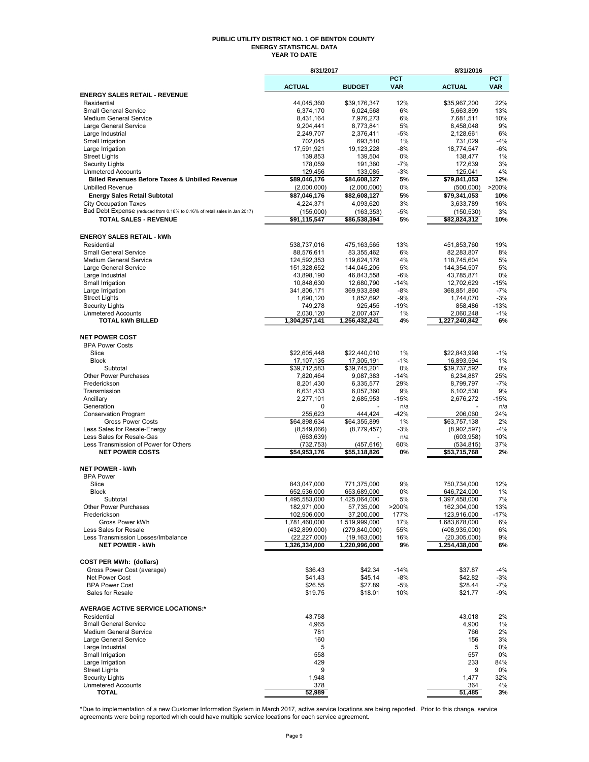#### **PUBLIC UTILITY DISTRICT NO. 1 OF BENTON COUNTY ENERGY STATISTICAL DATA YEAR TO DATE**

|                                                                                         | 8/31/2017                      |                                  |                   | 8/31/2016                        |                          |
|-----------------------------------------------------------------------------------------|--------------------------------|----------------------------------|-------------------|----------------------------------|--------------------------|
|                                                                                         | <b>ACTUAL</b>                  | <b>BUDGET</b>                    | PCT<br><b>VAR</b> | <b>ACTUAL</b>                    | <b>PCT</b><br><b>VAR</b> |
| <b>ENERGY SALES RETAIL - REVENUE</b>                                                    |                                |                                  |                   |                                  |                          |
| Residential                                                                             | 44,045,360                     | \$39.176.347                     | 12%               | \$35,967,200                     | 22%                      |
| <b>Small General Service</b>                                                            | 6,374,170                      | 6,024,568                        | 6%                | 5,663,899                        | 13%                      |
| Medium General Service                                                                  | 8,431,164                      | 7,976,273                        | 6%                | 7,681,511                        | 10%                      |
| Large General Service<br>Large Industrial                                               | 9,204,441<br>2,249,707         | 8,773,841<br>2,376,411           | 5%<br>-5%         | 8,458,048<br>2,128,661           | 9%<br>6%                 |
| Small Irrigation                                                                        | 702,045                        | 693,510                          | 1%                | 731,029                          | $-4%$                    |
| Large Irrigation                                                                        | 17,591,921                     | 19, 123, 228                     | -8%               | 18,774,547                       | $-6%$                    |
| <b>Street Lights</b>                                                                    | 139,853                        | 139,504                          | 0%                | 138,477                          | 1%                       |
| <b>Security Lights</b>                                                                  | 178,059                        | 191,360                          | -7%               | 172,639                          | 3%                       |
| <b>Unmetered Accounts</b><br><b>Billed Revenues Before Taxes &amp; Unbilled Revenue</b> | 129,456<br>\$89,046,176        | 133,085<br>\$84,608,127          | $-3%$<br>5%       | 125,041<br>\$79,841,053          | 4%<br>12%                |
| <b>Unbilled Revenue</b>                                                                 | (2,000,000)                    | (2,000,000)                      | 0%                | (500,000)                        | >200%                    |
| <b>Energy Sales Retail Subtotal</b>                                                     | \$87,046,176                   | \$82,608,127                     | 5%                | \$79,341,053                     | 10%                      |
| <b>City Occupation Taxes</b>                                                            | 4,224,371                      | 4,093,620                        | 3%                | 3,633,789                        | 16%                      |
| Bad Debt Expense (reduced from 0.18% to 0.16% of retail sales in Jan 2017)              | (155,000)                      | (163, 353)                       | -5%               | (150, 530)                       | 3%                       |
| TOTAL SALES - REVENUE                                                                   | \$91,115,547                   | \$86,538,394                     | 5%                | \$82,824,312                     | 10%                      |
|                                                                                         |                                |                                  |                   |                                  |                          |
| <b>ENERGY SALES RETAIL - kWh</b><br>Residential                                         |                                |                                  | 13%               |                                  | 19%                      |
| <b>Small General Service</b>                                                            | 538,737,016<br>88,576,611      | 475,163,565<br>83,355,462        | 6%                | 451,853,760<br>82,283,807        | 8%                       |
| <b>Medium General Service</b>                                                           | 124,592,353                    | 119,624,178                      | 4%                | 118,745,604                      | 5%                       |
| Large General Service                                                                   | 151,328,652                    | 144,045,205                      | 5%                | 144,354,507                      | 5%                       |
| Large Industrial                                                                        | 43,898,190                     | 46,843,558                       | -6%               | 43,785,871                       | 0%                       |
| Small Irrigation                                                                        | 10,848,630                     | 12,680,790                       | $-14%$            | 12,702,629                       | -15%                     |
| Large Irrigation                                                                        | 341,806,171                    | 369,933,898                      | $-8%$             | 368,851,860                      | $-7%$                    |
| <b>Street Lights</b>                                                                    | 1,690,120                      | 1,852,692<br>925,455             | -9%<br>$-19%$     | 1,744,070                        | $-3%$<br>$-13%$          |
| <b>Security Lights</b><br><b>Unmetered Accounts</b>                                     | 749,278<br>2,030,120           | 2,007,437                        | 1%                | 858,486<br>2,060,248             | $-1%$                    |
| <b>TOTAL kWh BILLED</b>                                                                 | 1,304,257,141                  | 1,256,432,241                    | 4%                | 1,227,240,842                    | 6%                       |
|                                                                                         |                                |                                  |                   |                                  |                          |
| <b>NET POWER COST</b>                                                                   |                                |                                  |                   |                                  |                          |
| <b>BPA Power Costs</b>                                                                  |                                |                                  |                   |                                  |                          |
| Slice<br><b>Block</b>                                                                   | \$22,605,448                   | \$22,440,010                     | 1%<br>$-1%$       | \$22,843,998                     | $-1%$<br>1%              |
| Subtotal                                                                                | 17,107,135<br>\$39,712,583     | 17,305,191<br>\$39,745,201       | 0%                | 16,893,594<br>\$39,737,592       | 0%                       |
| <b>Other Power Purchases</b>                                                            | 7,820,464                      | 9,087,383                        | $-14%$            | 6,234,887                        | 25%                      |
| Frederickson                                                                            | 8,201,430                      | 6,335,577                        | 29%               | 8,799,797                        | $-7%$                    |
| Transmission                                                                            | 6,631,433                      | 6,057,360                        | 9%                | 6,102,530                        | 9%                       |
| Ancillary                                                                               | 2,277,101                      | 2,685,953                        | -15%              | 2,676,272                        | $-15%$                   |
| Generation                                                                              | 0                              |                                  | n/a               |                                  | n/a                      |
| <b>Conservation Program</b><br><b>Gross Power Costs</b>                                 | 255,623<br>\$64,898,634        | 444,424<br>\$64,355,899          | $-42%$<br>1%      | 206,060<br>\$63,757,138          | 24%<br>2%                |
| Less Sales for Resale-Energy                                                            | (8,549,066)                    | (8,779,457)                      | $-3%$             | (8,902,597)                      | -4%                      |
| Less Sales for Resale-Gas                                                               | (663, 639)                     |                                  | n/a               | (603, 958)                       | 10%                      |
| Less Transmission of Power for Others                                                   | (732, 753)                     | (457,616)                        | 60%               | (534,815)                        | 37%                      |
| <b>NET POWER COSTS</b>                                                                  | \$54,953,176                   | \$55.118.826                     | 0%                | \$53,715,768                     | 2%                       |
| <b>NET POWER - kWh</b>                                                                  |                                |                                  |                   |                                  |                          |
| <b>BPA Power</b>                                                                        |                                |                                  |                   |                                  |                          |
| Slice                                                                                   | 843,047,000                    | 771,375,000                      | 9%                | 750,734,000                      | 12%                      |
| <b>Block</b>                                                                            | 652,536,000                    | 653,689,000                      | 0%                | 646,724,000                      | 1%                       |
| Subtotal                                                                                | 1,495,583,000                  | 1,425,064,000                    | 5%                | 1,397,458,000                    | 7%                       |
| Other Power Purchases                                                                   | 182,971,000                    | 57,735,000                       | >200%             | 162,304,000                      | 13%                      |
| Frederickson                                                                            | 102,906,000                    | 37,200,000                       | 177%              | 123,916,000                      | -17%                     |
| Gross Power kWh<br>Less Sales for Resale                                                | 1,781,460,000<br>(432,899,000) | 1,519,999,000<br>(279, 840, 000) | 17%<br>55%        | 1,683,678,000<br>(408, 935, 000) | 6%<br>6%                 |
| Less Transmission Losses/Imbalance                                                      | (22, 227, 000)                 | (19, 163, 000)                   | 16%               | (20, 305, 000)                   | 9%                       |
| <b>NET POWER - kWh</b>                                                                  | 1,326,334,000                  | 1,220,996,000                    | 9%                | 1,254,438,000                    | 6%                       |
|                                                                                         |                                |                                  |                   |                                  |                          |
| <b>COST PER MWh: (dollars)</b>                                                          |                                |                                  |                   |                                  |                          |
| Gross Power Cost (average)                                                              | \$36.43                        | \$42.34                          | $-14%$            | \$37.87                          | -4%                      |
| Net Power Cost<br><b>BPA Power Cost</b>                                                 | \$41.43                        | \$45.14                          | -8%               | \$42.82                          | -3%                      |
| Sales for Resale                                                                        | \$26.55<br>\$19.75             | \$27.89<br>\$18.01               | $-5%$<br>10%      | \$28.44<br>\$21.77               | -7%<br>-9%               |
|                                                                                         |                                |                                  |                   |                                  |                          |
| <b>AVERAGE ACTIVE SERVICE LOCATIONS:*</b>                                               |                                |                                  |                   |                                  |                          |
| Residential                                                                             | 43,758                         |                                  |                   | 43.018                           | 2%                       |
| <b>Small General Service</b>                                                            | 4,965                          |                                  |                   | 4,900                            | 1%                       |
| Medium General Service                                                                  | 781                            |                                  |                   | 766                              | 2%                       |
| Large General Service<br>Large Industrial                                               | 160<br>5                       |                                  |                   | 156<br>5                         | 3%<br>0%                 |
| Small Irrigation                                                                        | 558                            |                                  |                   | 557                              | 0%                       |
| Large Irrigation                                                                        | 429                            |                                  |                   | 233                              | 84%                      |
| <b>Street Lights</b>                                                                    | 9                              |                                  |                   | 9                                | 0%                       |
| <b>Security Lights</b>                                                                  | 1,948                          |                                  |                   | 1,477                            | 32%                      |
| <b>Unmetered Accounts</b>                                                               | 378                            |                                  |                   | 364                              | 4%                       |
| <b>TOTAL</b>                                                                            | 52,989                         |                                  |                   | 51,485                           | 3%                       |

\*Due to implementation of a new Customer Information System in March 2017, active service locations are being reported. Prior to this change, service<br>agreements were being reported which could have multiple service locati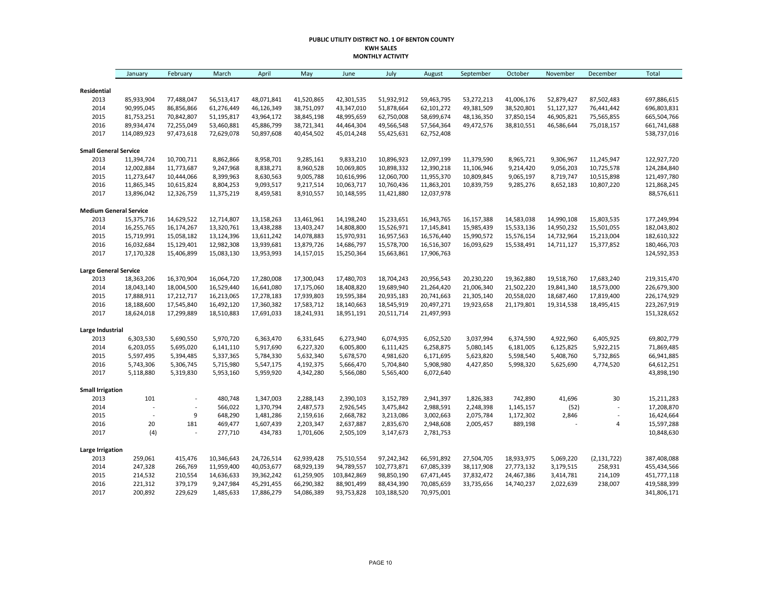#### **PUBLIC UTILITY DISTRICT NO. 1 OF BENTON COUNTY KWH SALES MONTHLY ACTIVITY**

|                               | January        | February       | March      | April      | May        | June        | July        | August     | September  | October    | November   | December       | <b>Total</b> |
|-------------------------------|----------------|----------------|------------|------------|------------|-------------|-------------|------------|------------|------------|------------|----------------|--------------|
| Residential                   |                |                |            |            |            |             |             |            |            |            |            |                |              |
| 2013                          | 85,933,904     | 77,488,047     | 56,513,417 | 48,071,841 | 41,520,865 | 42,301,535  | 51,932,912  | 59,463,795 | 53,272,213 | 41,006,176 | 52,879,427 | 87,502,483     | 697,886,615  |
| 2014                          | 90,995,045     | 86,856,866     | 61,276,449 | 46,126,349 | 38,751,097 | 43,347,010  | 51,878,664  | 62,101,272 | 49,381,509 | 38,520,801 | 51,127,327 | 76,441,442     | 696,803,831  |
| 2015                          | 81,753,251     | 70,842,807     | 51,195,817 | 43,964,172 | 38,845,198 | 48,995,659  | 62,750,008  | 58,699,674 | 48,136,350 | 37,850,154 | 46,905,821 | 75,565,855     | 665,504,766  |
| 2016                          | 89,934,474     | 72,255,049     | 53,460,881 | 45,886,799 | 38,721,341 | 44,464,304  | 49,566,548  | 57,564,364 | 49,472,576 | 38,810,551 | 46,586,644 | 75,018,157     | 661,741,688  |
| 2017                          | 114,089,923    | 97,473,618     | 72,629,078 | 50,897,608 | 40,454,502 | 45,014,248  | 55,425,631  | 62,752,408 |            |            |            |                | 538,737,016  |
| <b>Small General Service</b>  |                |                |            |            |            |             |             |            |            |            |            |                |              |
| 2013                          | 11,394,724     | 10,700,711     | 8,862,866  | 8,958,701  | 9,285,161  | 9,833,210   | 10,896,923  | 12,097,199 | 11,379,590 | 8,965,721  | 9,306,967  | 11,245,947     | 122,927,720  |
| 2014                          | 12,002,884     | 11,773,687     | 9,247,968  | 8,838,271  | 8,960,528  | 10,069,805  | 10,898,332  | 12,390,218 | 11,106,946 | 9,214,420  | 9,056,203  | 10,725,578     | 124,284,840  |
| 2015                          | 11,273,647     | 10,444,066     | 8,399,963  | 8,630,563  | 9,005,788  | 10,616,996  | 12,060,700  | 11,955,370 | 10,809,845 | 9,065,197  | 8,719,747  | 10,515,898     | 121,497,780  |
| 2016                          | 11,865,345     | 10,615,824     | 8,804,253  | 9,093,517  | 9,217,514  | 10,063,717  | 10,760,436  | 11,863,201 | 10,839,759 | 9,285,276  | 8,652,183  | 10,807,220     | 121,868,245  |
| 2017                          | 13,896,042     | 12,326,759     | 11,375,219 | 8,459,581  | 8,910,557  | 10,148,595  | 11,421,880  | 12,037,978 |            |            |            |                | 88,576,611   |
| <b>Medium General Service</b> |                |                |            |            |            |             |             |            |            |            |            |                |              |
| 2013                          | 15,375,716     | 14,629,522     | 12,714,807 | 13,158,263 | 13,461,961 | 14,198,240  | 15,233,651  | 16,943,765 | 16,157,388 | 14,583,038 | 14,990,108 | 15,803,535     | 177,249,994  |
| 2014                          | 16,255,765     | 16,174,267     | 13,320,761 | 13,438,288 | 13,403,247 | 14,808,800  | 15,526,971  | 17,145,841 | 15,985,439 | 15,533,136 | 14,950,232 | 15,501,055     | 182,043,802  |
| 2015                          | 15,719,991     | 15,058,182     | 13,124,396 | 13,611,242 | 14,078,883 | 15,970,931  | 16,957,563  | 16,576,440 | 15,990,572 | 15,576,154 | 14,732,964 | 15,213,004     | 182,610,322  |
| 2016                          | 16,032,684     | 15,129,401     | 12,982,308 | 13,939,681 | 13,879,726 | 14,686,797  | 15,578,700  | 16,516,307 | 16,093,629 | 15,538,491 | 14,711,127 | 15,377,852     | 180,466,703  |
| 2017                          | 17,170,328     | 15,406,899     | 15,083,130 | 13,953,993 | 14,157,015 | 15,250,364  | 15,663,861  | 17,906,763 |            |            |            |                | 124,592,353  |
| <b>Large General Service</b>  |                |                |            |            |            |             |             |            |            |            |            |                |              |
| 2013                          | 18,363,206     | 16,370,904     | 16,064,720 | 17,280,008 | 17,300,043 | 17,480,703  | 18,704,243  | 20,956,543 | 20,230,220 | 19,362,880 | 19,518,760 | 17,683,240     | 219,315,470  |
| 2014                          | 18,043,140     | 18,004,500     | 16,529,440 | 16,641,080 | 17,175,060 | 18,408,820  | 19,689,940  | 21,264,420 | 21,006,340 | 21,502,220 | 19,841,340 | 18,573,000     | 226,679,300  |
| 2015                          | 17,888,911     | 17,212,717     | 16,213,065 | 17,278,183 | 17,939,803 | 19,595,384  | 20,935,183  | 20,741,663 | 21,305,140 | 20,558,020 | 18,687,460 | 17,819,400     | 226,174,929  |
| 2016                          | 18,188,600     | 17,545,840     | 16,492,120 | 17,360,382 | 17,583,712 | 18,140,663  | 18,545,919  | 20,497,271 | 19,923,658 | 21,179,801 | 19,314,538 | 18,495,415     | 223,267,919  |
| 2017                          | 18,624,018     | 17,299,889     | 18,510,883 | 17,691,033 | 18,241,931 | 18,951,191  | 20,511,714  | 21,497,993 |            |            |            |                | 151,328,652  |
| Large Industrial              |                |                |            |            |            |             |             |            |            |            |            |                |              |
| 2013                          | 6,303,530      | 5,690,550      | 5,970,720  | 6,363,470  | 6,331,645  | 6,273,940   | 6,074,935   | 6,052,520  | 3,037,994  | 6,374,590  | 4,922,960  | 6,405,925      | 69,802,779   |
| 2014                          | 6,203,055      | 5,695,020      | 6,141,110  | 5,917,690  | 6,227,320  | 6,005,800   | 6,111,425   | 6,258,875  | 5,080,145  | 6,181,005  | 6,125,825  | 5,922,215      | 71,869,485   |
| 2015                          | 5,597,495      | 5,394,485      | 5,337,365  | 5,784,330  | 5,632,340  | 5,678,570   | 4,981,620   | 6,171,695  | 5,623,820  | 5,598,540  | 5,408,760  | 5,732,865      | 66,941,885   |
| 2016                          | 5,743,306      | 5,306,745      | 5,715,980  | 5,547,175  | 4,192,375  | 5,666,470   | 5,704,840   | 5,908,980  | 4,427,850  | 5,998,320  | 5,625,690  | 4,774,520      | 64,612,251   |
| 2017                          | 5,118,880      | 5,319,830      | 5,953,160  | 5,959,920  | 4,342,280  | 5,566,080   | 5,565,400   | 6,072,640  |            |            |            |                | 43,898,190   |
| <b>Small Irrigation</b>       |                |                |            |            |            |             |             |            |            |            |            |                |              |
| 2013                          | 101            | $\overline{a}$ | 480,748    | 1,347,003  | 2,288,143  | 2,390,103   | 3,152,789   | 2,941,397  | 1,826,383  | 742,890    | 41,696     | 30             | 15,211,283   |
| 2014                          |                | $\overline{a}$ | 566,022    | 1,370,794  | 2,487,573  | 2,926,545   | 3,475,842   | 2,988,591  | 2,248,398  | 1,145,157  | (52)       | $\overline{a}$ | 17,208,870   |
| 2015                          | $\overline{a}$ | 9              | 648,290    | 1,481,286  | 2,159,616  | 2,668,782   | 3,213,086   | 3,002,663  | 2,075,784  | 1,172,302  | 2,846      | $\overline{a}$ | 16,424,664   |
| 2016                          | 20             | 181            | 469,477    | 1,607,439  | 2,203,347  | 2,637,887   | 2,835,670   | 2,948,608  | 2,005,457  | 889,198    |            | 4              | 15,597,288   |
| 2017                          | (4)            |                | 277,710    | 434,783    | 1,701,606  | 2,505,109   | 3,147,673   | 2,781,753  |            |            |            |                | 10,848,630   |
| <b>Large Irrigation</b>       |                |                |            |            |            |             |             |            |            |            |            |                |              |
| 2013                          | 259,061        | 415,476        | 10,346,643 | 24,726,514 | 62,939,428 | 75,510,554  | 97,242,342  | 66,591,892 | 27,504,705 | 18,933,975 | 5,069,220  | (2, 131, 722)  | 387,408,088  |
| 2014                          | 247,328        | 266,769        | 11,959,400 | 40,053,677 | 68,929,139 | 94,789,557  | 102,773,871 | 67,085,339 | 38,117,908 | 27,773,132 | 3,179,515  | 258,931        | 455,434,566  |
| 2015                          | 214,532        | 210,554        | 14,636,633 | 39,362,242 | 61,259,905 | 103,842,869 | 98,850,190  | 67,471,445 | 37,832,472 | 24,467,386 | 3,414,781  | 214,109        | 451,777,118  |
| 2016                          | 221,312        | 379,179        | 9,247,984  | 45,291,455 | 66,290,382 | 88,901,499  | 88,434,390  | 70,085,659 | 33,735,656 | 14,740,237 | 2,022,639  | 238,007        | 419,588,399  |
| 2017                          | 200,892        | 229,629        | 1,485,633  | 17,886,279 | 54,086,389 | 93,753,828  | 103,188,520 | 70,975,001 |            |            |            |                | 341,806,171  |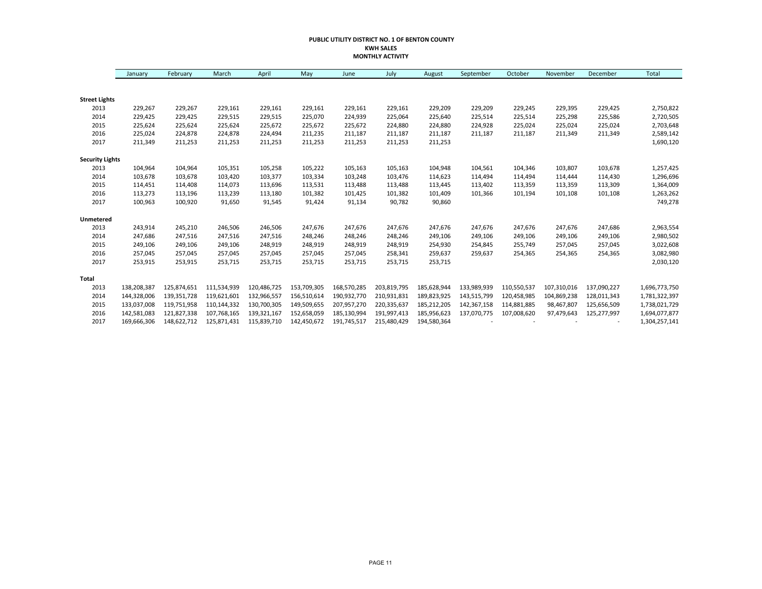#### **PUBLIC UTILITY DISTRICT NO. 1 OF BENTON COUNTY KWH SALES MONTHLY ACTIVITY**

|                        | January     | February    | March       | April       | May         | June        | July        | August      | September   | October     | November    | December    | Total         |
|------------------------|-------------|-------------|-------------|-------------|-------------|-------------|-------------|-------------|-------------|-------------|-------------|-------------|---------------|
|                        |             |             |             |             |             |             |             |             |             |             |             |             |               |
| <b>Street Lights</b>   |             |             |             |             |             |             |             |             |             |             |             |             |               |
| 2013                   | 229,267     | 229,267     | 229,161     | 229,161     | 229,161     | 229,161     | 229,161     | 229,209     | 229,209     | 229,245     | 229,395     | 229,425     | 2,750,822     |
| 2014                   | 229.425     | 229,425     | 229,515     | 229,515     | 225,070     | 224,939     | 225,064     | 225,640     | 225,514     | 225,514     | 225,298     | 225,586     | 2,720,505     |
| 2015                   | 225,624     | 225,624     | 225,624     | 225,672     | 225,672     | 225,672     | 224,880     | 224,880     | 224,928     | 225,024     | 225,024     | 225,024     | 2,703,648     |
| 2016                   | 225,024     | 224,878     | 224,878     | 224,494     | 211,235     | 211,187     | 211,187     | 211,187     | 211,187     | 211,187     | 211,349     | 211,349     | 2,589,142     |
| 2017                   | 211,349     | 211,253     | 211,253     | 211,253     | 211,253     | 211,253     | 211,253     | 211,253     |             |             |             |             | 1,690,120     |
| <b>Security Lights</b> |             |             |             |             |             |             |             |             |             |             |             |             |               |
| 2013                   | 104,964     | 104,964     | 105,351     | 105,258     | 105,222     | 105,163     | 105,163     | 104,948     | 104,561     | 104,346     | 103,807     | 103,678     | 1,257,425     |
| 2014                   | 103,678     | 103,678     | 103,420     | 103,377     | 103,334     | 103,248     | 103,476     | 114,623     | 114.494     | 114.494     | 114,444     | 114,430     | 1,296,696     |
| 2015                   | 114,451     | 114,408     | 114,073     | 113,696     | 113,531     | 113,488     | 113,488     | 113,445     | 113,402     | 113,359     | 113,359     | 113,309     | 1,364,009     |
| 2016                   | 113,273     | 113,196     | 113,239     | 113,180     | 101,382     | 101,425     | 101,382     | 101,409     | 101,366     | 101,194     | 101,108     | 101,108     | 1,263,262     |
| 2017                   | 100,963     | 100,920     | 91,650      | 91,545      | 91,424      | 91,134      | 90,782      | 90,860      |             |             |             |             | 749,278       |
| <b>Unmetered</b>       |             |             |             |             |             |             |             |             |             |             |             |             |               |
| 2013                   | 243,914     | 245,210     | 246,506     | 246,506     | 247,676     | 247,676     | 247,676     | 247,676     | 247,676     | 247,676     | 247,676     | 247,686     | 2,963,554     |
| 2014                   | 247,686     | 247,516     | 247,516     | 247,516     | 248,246     | 248,246     | 248,246     | 249,106     | 249,106     | 249,106     | 249,106     | 249,106     | 2,980,502     |
| 2015                   | 249,106     | 249,106     | 249,106     | 248,919     | 248,919     | 248,919     | 248,919     | 254,930     | 254,845     | 255,749     | 257,045     | 257,045     | 3,022,608     |
| 2016                   | 257,045     | 257,045     | 257,045     | 257,045     | 257,045     | 257,045     | 258,341     | 259,637     | 259,637     | 254,365     | 254,365     | 254,365     | 3,082,980     |
| 2017                   | 253,915     | 253,915     | 253,715     | 253,715     | 253,715     | 253,715     | 253,715     | 253,715     |             |             |             |             | 2,030,120     |
| Total                  |             |             |             |             |             |             |             |             |             |             |             |             |               |
| 2013                   | 138,208,387 | 125,874,651 | 111,534,939 | 120,486,725 | 153,709,305 | 168,570,285 | 203,819,795 | 185,628,944 | 133,989,939 | 110,550,537 | 107,310,016 | 137,090,227 | 1,696,773,750 |
| 2014                   | 144,328,006 | 139,351,728 | 119,621,601 | 132,966,557 | 156,510,614 | 190,932,770 | 210,931,831 | 189,823,925 | 143,515,799 | 120,458,985 | 104,869,238 | 128,011,343 | 1,781,322,397 |
| 2015                   | 133,037,008 | 119,751,958 | 110,144,332 | 130,700,305 | 149,509,655 | 207,957,270 | 220,335,637 | 185,212,205 | 142,367,158 | 114,881,885 | 98,467,807  | 125,656,509 | 1,738,021,729 |
| 2016                   | 142,581,083 | 121,827,338 | 107,768,165 | 139,321,167 | 152,658,059 | 185,130,994 | 191,997,413 | 185,956,623 | 137,070,775 | 107,008,620 | 97,479,643  | 125,277,997 | 1,694,077,877 |
| 2017                   | 169,666,306 | 148,622,712 | 125,871,431 | 115,839,710 | 142,450,672 | 191,745,517 | 215,480,429 | 194,580,364 |             |             |             |             | 1,304,257,141 |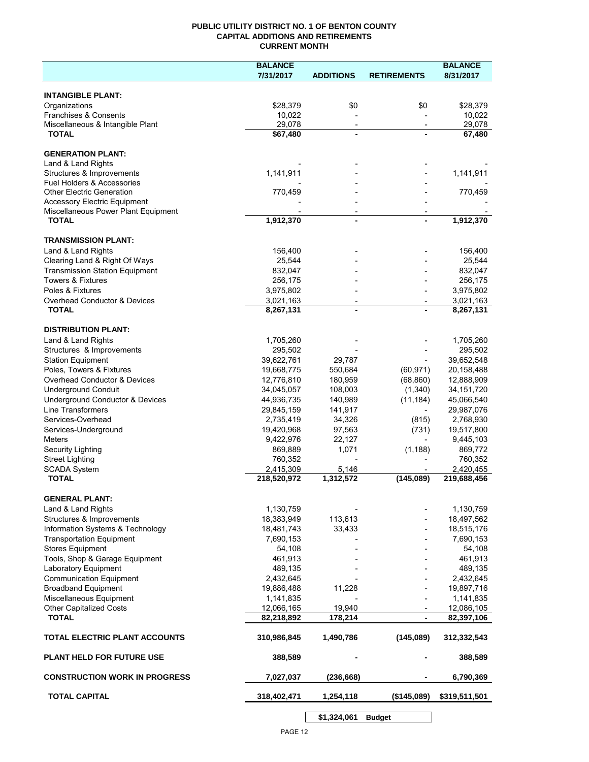## **PUBLIC UTILITY DISTRICT NO. 1 OF BENTON COUNTY CAPITAL ADDITIONS AND RETIREMENTS CURRENT MONTH**

|                                                     | <b>BALANCE</b>          |                                            |                          | <b>BALANCE</b>          |
|-----------------------------------------------------|-------------------------|--------------------------------------------|--------------------------|-------------------------|
|                                                     | 7/31/2017               | <b>ADDITIONS</b>                           | <b>RETIREMENTS</b>       | 8/31/2017               |
| <b>INTANGIBLE PLANT:</b>                            |                         |                                            |                          |                         |
| Organizations                                       | \$28,379                | \$0                                        | \$0                      | \$28,379                |
| Franchises & Consents                               | 10,022                  |                                            |                          | 10,022                  |
| Miscellaneous & Intangible Plant                    | 29,078                  | $\overline{\phantom{a}}$                   | $\overline{\phantom{a}}$ | 29,078                  |
| <b>TOTAL</b>                                        | \$67,480                | $\blacksquare$                             |                          | 67,480                  |
| <b>GENERATION PLANT:</b>                            |                         |                                            |                          |                         |
| Land & Land Rights                                  |                         |                                            |                          |                         |
| Structures & Improvements                           | 1,141,911               |                                            |                          | 1,141,911               |
| <b>Fuel Holders &amp; Accessories</b>               |                         |                                            |                          |                         |
| <b>Other Electric Generation</b>                    | 770,459                 |                                            |                          | 770,459                 |
| <b>Accessory Electric Equipment</b>                 |                         |                                            |                          |                         |
| Miscellaneous Power Plant Equipment<br><b>TOTAL</b> | 1,912,370               | $\overline{\phantom{a}}$<br>$\blacksquare$ |                          | 1,912,370               |
|                                                     |                         |                                            |                          |                         |
| <b>TRANSMISSION PLANT:</b>                          |                         |                                            |                          |                         |
| Land & Land Rights                                  | 156,400                 |                                            |                          | 156,400                 |
| Clearing Land & Right Of Ways                       | 25,544                  |                                            |                          | 25,544                  |
| <b>Transmission Station Equipment</b>               | 832,047                 |                                            |                          | 832,047                 |
| <b>Towers &amp; Fixtures</b><br>Poles & Fixtures    | 256,175                 |                                            |                          | 256,175                 |
| Overhead Conductor & Devices                        | 3,975,802               |                                            |                          | 3,975,802               |
| <b>TOTAL</b>                                        | 3,021,163<br>8,267,131  |                                            |                          | 3,021,163<br>8,267,131  |
|                                                     |                         |                                            |                          |                         |
| <b>DISTRIBUTION PLANT:</b>                          |                         |                                            |                          |                         |
| Land & Land Rights                                  | 1,705,260               |                                            |                          | 1,705,260               |
| Structures & Improvements                           | 295,502                 |                                            |                          | 295,502                 |
| <b>Station Equipment</b>                            | 39,622,761              | 29,787                                     |                          | 39,652,548              |
| Poles, Towers & Fixtures                            | 19,668,775              | 550,684                                    | (60, 971)                | 20,158,488              |
| Overhead Conductor & Devices                        | 12,776,810              | 180,959                                    | (68, 860)                | 12,888,909              |
| <b>Underground Conduit</b>                          | 34,045,057              | 108,003                                    | (1,340)                  | 34, 151, 720            |
| Underground Conductor & Devices                     | 44,936,735              | 140,989                                    | (11, 184)                | 45,066,540              |
| <b>Line Transformers</b><br>Services-Overhead       | 29,845,159<br>2,735,419 | 141,917<br>34,326                          | (815)                    | 29,987,076<br>2,768,930 |
| Services-Underground                                | 19,420,968              | 97,563                                     | (731)                    | 19,517,800              |
| Meters                                              | 9,422,976               | 22,127                                     | $\overline{\phantom{a}}$ | 9,445,103               |
| Security Lighting                                   | 869,889                 | 1,071                                      | (1, 188)                 | 869,772                 |
| <b>Street Lighting</b>                              | 760,352                 |                                            |                          | 760,352                 |
| <b>SCADA System</b>                                 | 2,415,309               | 5,146                                      |                          | 2,420,455               |
| <b>TOTAL</b>                                        | 218,520,972             | 1,312,572                                  | (145,089)                | 219,688,456             |
| <b>GENERAL PLANT:</b>                               |                         |                                            |                          |                         |
| Land & Land Rights                                  | 1,130,759               |                                            |                          | 1,130,759               |
| Structures & Improvements                           | 18,383,949              | 113,613                                    |                          | 18,497,562              |
| Information Systems & Technology                    | 18,481,743              | 33,433                                     |                          | 18,515,176              |
| <b>Transportation Equipment</b>                     | 7,690,153               |                                            |                          | 7,690,153               |
| <b>Stores Equipment</b>                             | 54,108                  |                                            |                          | 54,108                  |
| Tools, Shop & Garage Equipment                      | 461,913                 |                                            |                          | 461,913                 |
| Laboratory Equipment                                | 489,135                 |                                            |                          | 489,135                 |
| <b>Communication Equipment</b>                      | 2,432,645               |                                            |                          | 2,432,645               |
| <b>Broadband Equipment</b>                          | 19,886,488              | 11,228                                     |                          | 19,897,716              |
| Miscellaneous Equipment                             | 1,141,835               |                                            |                          | 1,141,835               |
| <b>Other Capitalized Costs</b>                      | 12,066,165              | 19,940                                     |                          | 12,086,105              |
| <b>TOTAL</b>                                        | 82,218,892              | 178,214                                    | $\blacksquare$           | 82,397,106              |
| TOTAL ELECTRIC PLANT ACCOUNTS                       | 310,986,845             | 1,490,786                                  | (145,089)                | 312,332,543             |
| <b>PLANT HELD FOR FUTURE USE</b>                    | 388,589                 |                                            |                          | 388,589                 |
| <b>CONSTRUCTION WORK IN PROGRESS</b>                | 7,027,037               | (236, 668)                                 |                          | 6,790,369               |
| <b>TOTAL CAPITAL</b>                                | 318,402,471             | 1,254,118                                  | (\$145,089)              | \$319,511,501           |
|                                                     |                         |                                            |                          |                         |

**\$1,324,061 Budget**

 $\mathsf{l}$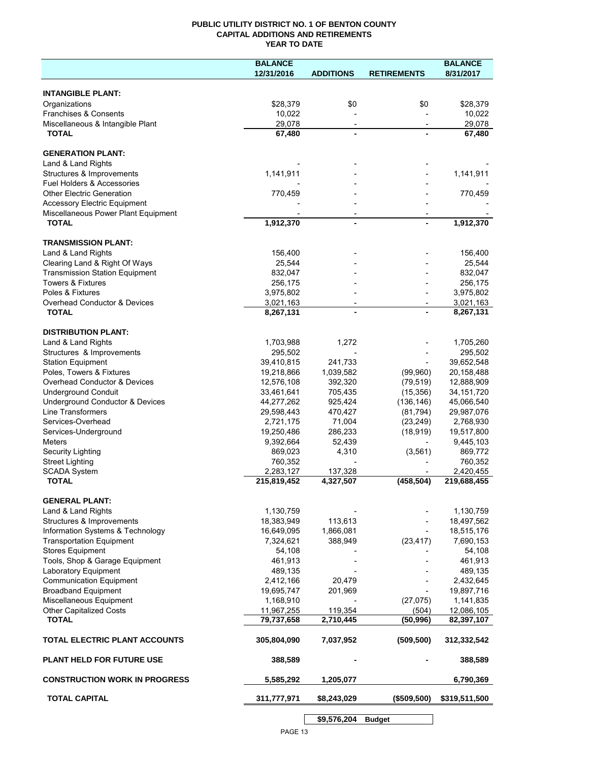## **PUBLIC UTILITY DISTRICT NO. 1 OF BENTON COUNTY CAPITAL ADDITIONS AND RETIREMENTS YEAR TO DATE**

|                                                  | <b>BALANCE</b>         |                          |                          | <b>BALANCE</b>         |
|--------------------------------------------------|------------------------|--------------------------|--------------------------|------------------------|
|                                                  | 12/31/2016             | <b>ADDITIONS</b>         | <b>RETIREMENTS</b>       | 8/31/2017              |
|                                                  |                        |                          |                          |                        |
| <b>INTANGIBLE PLANT:</b>                         |                        |                          |                          |                        |
| Organizations                                    | \$28,379               | \$0                      | \$0                      | \$28,379               |
| Franchises & Consents                            | 10,022                 |                          |                          | 10,022                 |
| Miscellaneous & Intangible Plant<br><b>TOTAL</b> | 29,078<br>67,480       | $\overline{\phantom{a}}$ | $\overline{\phantom{a}}$ | 29,078<br>67,480       |
|                                                  |                        |                          |                          |                        |
| <b>GENERATION PLANT:</b>                         |                        |                          |                          |                        |
| Land & Land Rights                               |                        |                          |                          |                        |
| Structures & Improvements                        | 1,141,911              |                          |                          | 1,141,911              |
| Fuel Holders & Accessories                       |                        |                          |                          |                        |
| <b>Other Electric Generation</b>                 | 770,459                |                          |                          | 770,459                |
| <b>Accessory Electric Equipment</b>              |                        |                          |                          |                        |
| Miscellaneous Power Plant Equipment              |                        |                          |                          |                        |
| <b>TOTAL</b>                                     | 1,912,370              | $\overline{a}$           |                          | 1,912,370              |
|                                                  |                        |                          |                          |                        |
| <b>TRANSMISSION PLANT:</b>                       |                        |                          |                          |                        |
| Land & Land Rights                               | 156,400                |                          |                          | 156,400                |
| Clearing Land & Right Of Ways                    | 25,544                 |                          |                          | 25,544                 |
| <b>Transmission Station Equipment</b>            | 832,047                |                          |                          | 832,047                |
| Towers & Fixtures<br>Poles & Fixtures            | 256,175                |                          |                          | 256,175                |
| <b>Overhead Conductor &amp; Devices</b>          | 3,975,802              |                          |                          | 3,975,802              |
| <b>TOTAL</b>                                     | 3,021,163<br>8,267,131 | $\overline{\phantom{a}}$ |                          | 3,021,163<br>8,267,131 |
|                                                  |                        |                          |                          |                        |
| <b>DISTRIBUTION PLANT:</b>                       |                        |                          |                          |                        |
| Land & Land Rights                               | 1,703,988              | 1,272                    |                          | 1,705,260              |
| Structures & Improvements                        | 295,502                |                          |                          | 295,502                |
| <b>Station Equipment</b>                         | 39,410,815             | 241,733                  |                          | 39,652,548             |
| Poles, Towers & Fixtures                         | 19,218,866             | 1,039,582                | (99,960)                 | 20,158,488             |
| Overhead Conductor & Devices                     | 12,576,108             | 392,320                  | (79, 519)                | 12,888,909             |
| <b>Underground Conduit</b>                       | 33,461,641             | 705,435                  | (15, 356)                | 34, 151, 720           |
| Underground Conductor & Devices                  | 44,277,262             | 925,424                  | (136, 146)               | 45,066,540             |
| Line Transformers                                | 29,598,443             | 470,427                  | (81, 794)                | 29,987,076             |
| Services-Overhead                                | 2,721,175              | 71,004                   | (23, 249)                | 2,768,930              |
| Services-Underground                             | 19,250,486             | 286,233                  | (18, 919)                | 19,517,800             |
| <b>Meters</b>                                    | 9,392,664              | 52,439                   |                          | 9,445,103              |
| <b>Security Lighting</b>                         | 869,023                | 4,310                    | (3, 561)                 | 869,772                |
| <b>Street Lighting</b>                           | 760,352                |                          |                          | 760,352                |
| <b>SCADA System</b>                              | 2,283,127              | 137,328                  |                          | 2,420,455              |
| <b>TOTAL</b>                                     | 215,819,452            | 4,327,507                | (458, 504)               | 219,688,455            |
| <b>GENERAL PLANT:</b>                            |                        |                          |                          |                        |
| Land & Land Rights                               | 1,130,759              |                          |                          | 1,130,759              |
| Structures & Improvements                        | 18,383,949             | 113,613                  |                          | 18,497,562             |
| Information Systems & Technology                 | 16,649,095             | 1,866,081                |                          | 18,515,176             |
| <b>Transportation Equipment</b>                  | 7,324,621              | 388,949                  | (23, 417)                | 7,690,153              |
| <b>Stores Equipment</b>                          | 54,108                 |                          |                          | 54,108                 |
| Tools, Shop & Garage Equipment                   | 461,913                |                          |                          | 461,913                |
| Laboratory Equipment                             | 489,135                |                          |                          | 489,135                |
| <b>Communication Equipment</b>                   | 2,412,166              | 20,479                   |                          | 2,432,645              |
| <b>Broadband Equipment</b>                       | 19,695,747             | 201,969                  |                          | 19,897,716             |
| Miscellaneous Equipment                          | 1,168,910              |                          | (27, 075)                | 1,141,835              |
| Other Capitalized Costs                          | 11,967,255             | 119,354                  | (504)                    | 12,086,105             |
| <b>TOTAL</b>                                     | 79,737,658             | 2,710,445                | (50, 996)                | 82,397,107             |
| TOTAL ELECTRIC PLANT ACCOUNTS                    | 305,804,090            | 7,037,952                | (509, 500)               | 312,332,542            |
| <b>PLANT HELD FOR FUTURE USE</b>                 | 388,589                |                          |                          | 388,589                |
| <b>CONSTRUCTION WORK IN PROGRESS</b>             | 5,585,292              | 1,205,077                |                          | 6,790,369              |
| <b>TOTAL CAPITAL</b>                             | 311,777,971            | \$8,243,029              | (\$509,500)              | \$319,511,500          |
|                                                  |                        |                          |                          |                        |
|                                                  |                        | \$9,576,204              | <b>Budget</b>            |                        |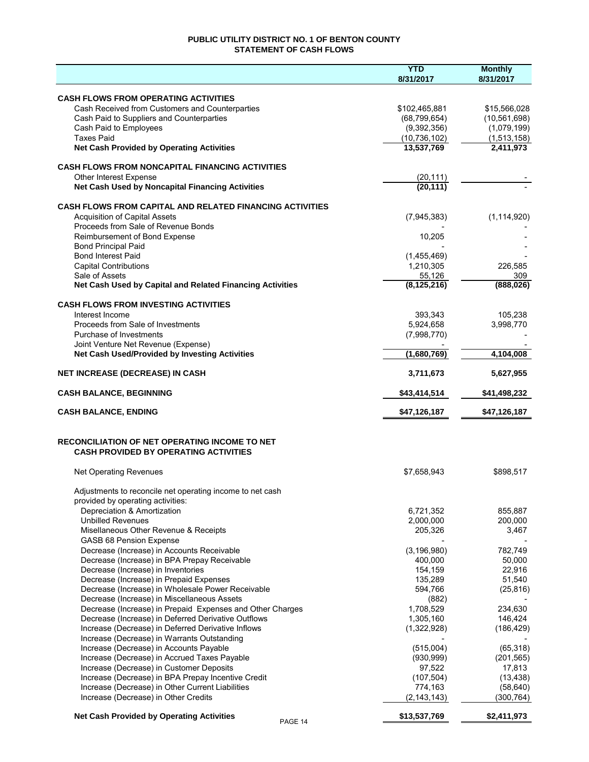## **PUBLIC UTILITY DISTRICT NO. 1 OF BENTON COUNTY STATEMENT OF CASH FLOWS**

|                                                                                                   | <b>YTD</b><br>8/31/2017  | <b>Monthly</b><br>8/31/2017 |
|---------------------------------------------------------------------------------------------------|--------------------------|-----------------------------|
| <b>CASH FLOWS FROM OPERATING ACTIVITIES</b>                                                       |                          |                             |
| Cash Received from Customers and Counterparties                                                   | \$102,465,881            | \$15,566,028                |
| Cash Paid to Suppliers and Counterparties                                                         | (68, 799, 654)           | (10, 561, 698)              |
| Cash Paid to Employees                                                                            | (9,392,356)              | (1,079,199)                 |
| <b>Taxes Paid</b>                                                                                 | (10, 736, 102)           | (1,513,158)                 |
| <b>Net Cash Provided by Operating Activities</b>                                                  | 13,537,769               | 2,411,973                   |
| <b>CASH FLOWS FROM NONCAPITAL FINANCING ACTIVITIES</b>                                            |                          |                             |
| Other Interest Expense                                                                            | (20, 111)                |                             |
| Net Cash Used by Noncapital Financing Activities                                                  | (20, 111)                |                             |
| <b>CASH FLOWS FROM CAPITAL AND RELATED FINANCING ACTIVITIES</b>                                   |                          |                             |
| <b>Acquisition of Capital Assets</b>                                                              | (7, 945, 383)            | (1, 114, 920)               |
| Proceeds from Sale of Revenue Bonds                                                               |                          |                             |
| Reimbursement of Bond Expense                                                                     | 10,205                   |                             |
| <b>Bond Principal Paid</b>                                                                        |                          |                             |
| <b>Bond Interest Paid</b><br><b>Capital Contributions</b>                                         | (1,455,469)<br>1,210,305 | 226,585                     |
| Sale of Assets                                                                                    | 55,126                   | 309                         |
| Net Cash Used by Capital and Related Financing Activities                                         | (8, 125, 216)            | (888, 026)                  |
| <b>CASH FLOWS FROM INVESTING ACTIVITIES</b>                                                       |                          |                             |
| Interest Income                                                                                   | 393.343                  | 105.238                     |
| Proceeds from Sale of Investments                                                                 | 5,924,658                | 3,998,770                   |
| Purchase of Investments                                                                           | (7,998,770)              |                             |
| Joint Venture Net Revenue (Expense)                                                               |                          |                             |
| Net Cash Used/Provided by Investing Activities                                                    | (1,680,769)              | 4,104,008                   |
| <b>NET INCREASE (DECREASE) IN CASH</b>                                                            | 3,711,673                | 5,627,955                   |
| <b>CASH BALANCE, BEGINNING</b>                                                                    | \$43,414,514             | \$41,498,232                |
| <b>CASH BALANCE, ENDING</b>                                                                       | \$47,126,187             | \$47,126,187                |
| RECONCILIATION OF NET OPERATING INCOME TO NET<br><b>CASH PROVIDED BY OPERATING ACTIVITIES</b>     |                          |                             |
| <b>Net Operating Revenues</b>                                                                     | \$7,658,943              | \$898,517                   |
| Adjustments to reconcile net operating income to net cash                                         |                          |                             |
| provided by operating activities:                                                                 |                          |                             |
| Depreciation & Amortization                                                                       | 6,721,352                | 855,887                     |
| <b>Unbilled Revenues</b>                                                                          | 2,000,000                | 200,000                     |
| Misellaneous Other Revenue & Receipts                                                             | 205,326                  | 3,467                       |
| GASB 68 Pension Expense                                                                           |                          |                             |
| Decrease (Increase) in Accounts Receivable<br>Decrease (Increase) in BPA Prepay Receivable        | (3, 196, 980)<br>400,000 | 782,749<br>50,000           |
| Decrease (Increase) in Inventories                                                                | 154,159                  | 22,916                      |
| Decrease (Increase) in Prepaid Expenses                                                           | 135,289                  | 51,540                      |
| Decrease (Increase) in Wholesale Power Receivable                                                 | 594,766                  | (25, 816)                   |
| Decrease (Increase) in Miscellaneous Assets                                                       | (882)                    |                             |
| Decrease (Increase) in Prepaid Expenses and Other Charges                                         | 1,708,529                | 234,630                     |
| Decrease (Increase) in Deferred Derivative Outflows                                               | 1,305,160                | 146,424                     |
| Increase (Decrease) in Deferred Derivative Inflows<br>Increase (Decrease) in Warrants Outstanding | (1,322,928)              | (186, 429)                  |
| Increase (Decrease) in Accounts Payable                                                           | (515,004)                | (65, 318)                   |
| Increase (Decrease) in Accrued Taxes Payable                                                      | (930, 999)               | (201, 565)                  |
| Increase (Decrease) in Customer Deposits                                                          | 97,522                   | 17,813                      |
| Increase (Decrease) in BPA Prepay Incentive Credit                                                | (107, 504)               | (13, 438)                   |
| Increase (Decrease) in Other Current Liabilities                                                  | 774,163                  | (58, 640)                   |
| Increase (Decrease) in Other Credits                                                              | (2, 143, 143)            | (300, 764)                  |
| <b>Net Cash Provided by Operating Activities</b><br>PAGE 14                                       | \$13,537,769             | \$2,411,973                 |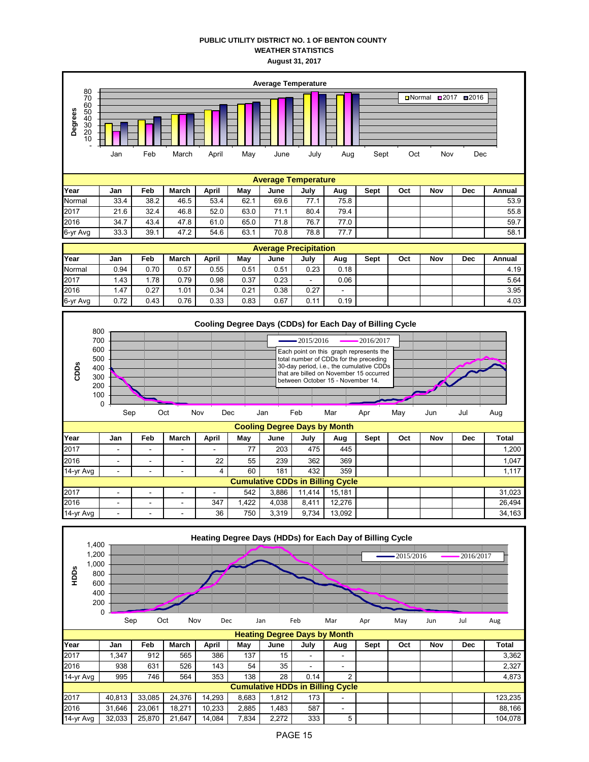## **PUBLIC UTILITY DISTRICT NO. 1 OF BENTON COUNTY WEATHER STATISTICS August 31, 2017**





14-yr Avg | - | - | - | 36 | 750 | 3,319 | 9,734 | 13,092 | | | | | | | | | | | 34,163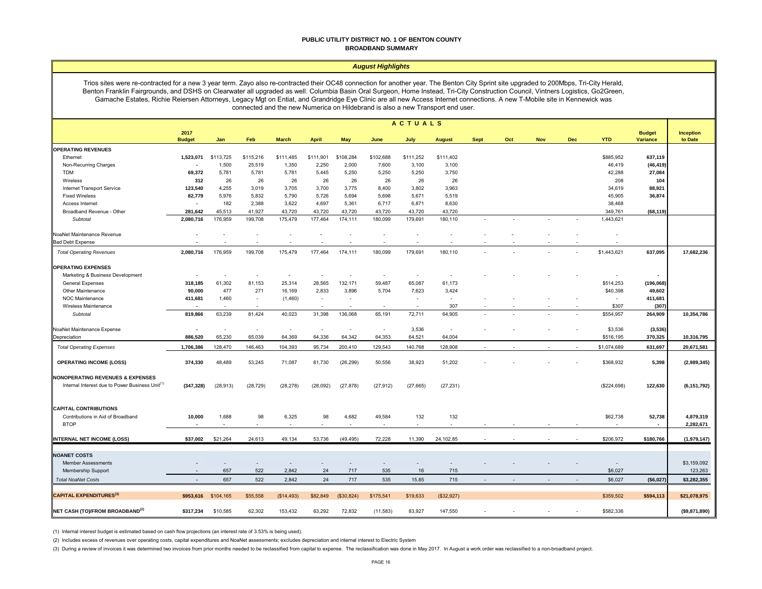#### **PUBLIC UTILITY DISTRICT NO. 1 OF BENTON COUNTY BROADBAND SUMMARY**

#### *August Highlights*

Trios sites were re-contracted for a new 3 year term. Zayo also re-contracted their OC48 connection for another year. The Benton City Sprint site upgraded to 200Mbps, Tri-City Herald, Benton Franklin Fairgrounds, and DSHS on Clearwater all upgraded as well. Columbia Basin Oral Surgeon, Home Instead, Tri-City Construction Council, Vintners Logistics, Go2Green, Gamache Estates, Richie Reiersen Attorneys, Legacy Mgt on Entiat, and Grandridge Eye Clinic are all new Access Internet connections. A new T-Mobile site in Kennewick was connected and the new Numerica on Hildebrand is also a new Transport end user.

|                                                             | <b>ACTUALS</b>           |           |           |                          |              |            |           |           |               |             |     |            |            |             |                                  |                        |
|-------------------------------------------------------------|--------------------------|-----------|-----------|--------------------------|--------------|------------|-----------|-----------|---------------|-------------|-----|------------|------------|-------------|----------------------------------|------------------------|
|                                                             | 2017<br><b>Budget</b>    | Jan       | Feb       | <b>March</b>             | <b>April</b> | <b>May</b> | June      | July      | <b>August</b> | <b>Sept</b> | Oct | <b>Nov</b> | <b>Dec</b> | <b>YTD</b>  | <b>Budget</b><br><b>Variance</b> | Inception<br>to Date   |
| <b>OPERATING REVENUES</b>                                   |                          |           |           |                          |              |            |           |           |               |             |     |            |            |             |                                  |                        |
| Ethernet                                                    | 1,523,071                | \$113,725 | \$115,216 | \$111,485                | \$111,901    | \$108,284  | \$102,688 | \$111,252 | \$111,402     |             |     |            |            | \$885,952   | 637,119                          |                        |
| Non-Recurring Charges                                       |                          | 1,500     | 25,519    | 1,350                    | 2,250        | 2,000      | 7,600     | 3,100     | 3,100         |             |     |            |            | 46,419      | (46, 419)                        |                        |
| <b>TDM</b>                                                  | 69,372                   | 5,781     | 5,781     | 5,781                    | 5,445        | 5,250      | 5,250     | 5,250     | 3,750         |             |     |            |            | 42,288      | 27,084                           |                        |
| Wireless                                                    | 312                      | 26        | 26        | 26                       | 26           | 26         | 26        | 26        | 26            |             |     |            |            | 208         | 104                              |                        |
| <b>Internet Transport Service</b>                           | 123,540                  | 4,255     | 3,019     | 3,705                    | 3,700        | 3,775      | 8,400     | 3,802     | 3,963         |             |     |            |            | 34,619      | 88,921                           |                        |
| <b>Fixed Wireless</b>                                       | 82,779                   | 5,976     | 5,832     | 5,790                    | 5,726        | 5,694      | 5,698     | 5,671     | 5,519         |             |     |            |            | 45,905      | 36,874                           |                        |
| Access Internet                                             | $\overline{\phantom{a}}$ | 182       | 2,388     | 3,622                    | 4,697        | 5,361      | 6,717     | 6,871     | 8,630         |             |     |            |            | 38,468      |                                  |                        |
| Broadband Revenue - Other                                   | 281,642                  | 45,513    | 41,927    | 43,720                   | 43,720       | 43,720     | 43,720    | 43,720    | 43,720        |             |     |            |            | 349,761     | (68, 119)                        |                        |
| Subtotal                                                    | 2,080,716                | 176,959   | 199,708   | 175,479                  | 177,464      | 174,111    | 180,099   | 179,691   | 180,110       |             |     |            |            | 1,443,621   |                                  |                        |
| NoaNet Maintenance Revenue                                  |                          |           |           |                          |              |            |           |           |               |             |     |            |            |             |                                  |                        |
| <b>Bad Debt Expense</b>                                     |                          |           |           |                          | $\sim$       |            |           |           | $\sim$        |             |     |            |            |             |                                  |                        |
| <b>Total Operating Revenues</b>                             | 2,080,716                | 176,959   | 199,708   | 175,479                  | 177,464      | 174,111    | 180,099   | 179,691   | 180,110       |             |     |            |            | \$1,443,621 | 637,095                          | 17,682,236             |
| <b>OPERATING EXPENSES</b>                                   |                          |           |           |                          |              |            |           |           |               |             |     |            |            |             |                                  |                        |
| Marketing & Business Development                            |                          |           |           | $\overline{\phantom{a}}$ | $\sim$       |            |           |           |               |             |     |            |            |             |                                  |                        |
| <b>General Expenses</b>                                     | 318,185                  | 61,302    | 81,153    | 25,314                   | 28,565       | 132,171    | 59,487    | 65,087    | 61,173        |             |     |            |            | \$514,253   | (196, 068)                       |                        |
| Other Maintenance                                           | 90,000                   | 477       | 271       | 16,169                   | 2,833        | 3,896      | 5,704     | 7,623     | 3,424         |             |     |            |            | \$40,398    | 49,602                           |                        |
| NOC Maintenance                                             | 411,681                  | 1,460     |           | (1,460)                  | $\sim$       |            |           | $\sim$    | $\sim$        |             |     |            |            |             | 411,681                          |                        |
| Wireless Maintenance                                        |                          | $\sim$    | $\sim$    |                          | $\sim$       |            | $\sim$    | $\sim$    | 307           |             |     |            |            | \$307       | (307)                            |                        |
| Subtotal                                                    | 819,866                  | 63,239    | 81,424    | 40,023                   | 31,398       | 136,068    | 65,191    | 72,711    | 64,905        |             |     |            |            | \$554,957   | 264,909                          | 10,354,786             |
| NoaNet Maintenance Expense                                  |                          | ÷.        | in 1919.  | $\sim$                   | $\sim$       |            | $\sim$    | 3,536     | $\sim$        |             |     |            |            | \$3,536     | (3, 536)                         |                        |
| Depreciation                                                | 886,520                  | 65,230    | 65,039    | 64,369                   | 64,336       | 64,342     | 64,353    | 64,521    | 64,004        |             |     |            |            | \$516,195   | 370,325                          | 10,316,795             |
| <b>Total Operating Expenses</b>                             | 1,706,386                | 128,470   | 146,463   | 104,393                  | 95,734       | 200,410    | 129,543   | 140,768   | 128,908       |             |     |            |            | \$1,074,689 | 631,697                          | 20,671,581             |
| <b>OPERATING INCOME (LOSS)</b>                              | 374,330                  | 48,489    | 53,245    | 71,087                   | 81,730       | (26, 299)  | 50,556    | 38,923    | 51,202        |             |     |            |            | \$368,932   | 5,398                            | (2,989,345)            |
| <b>NONOPERATING REVENUES &amp; EXPENSES</b>                 |                          |           |           |                          |              |            |           |           |               |             |     |            |            |             |                                  |                        |
| Internal Interest due to Power Business Unit <sup>(1)</sup> | (347, 328)               | (28, 913) | (28, 729) | (28, 278)                | (28,092)     | (27, 878)  | (27, 912) | (27, 665) | (27, 231)     |             |     |            |            | (\$224,698) | 122,630                          | (6, 151, 792)          |
| <b>CAPITAL CONTRIBUTIONS</b>                                |                          |           |           |                          |              |            |           |           |               |             |     |            |            |             |                                  |                        |
| Contributions in Aid of Broadband<br><b>BTOP</b>            | 10,000                   | 1,688     | 98        | 6,325                    | 98           | 4,682      | 49,584    | 132       | 132           |             |     |            |            | \$62,738    | 52,738<br>$\blacksquare$         | 4,879,319<br>2,282,671 |
| <b>INTERNAL NET INCOME (LOSS)</b>                           | \$37,002                 | \$21,264  | 24,613    | 49,134                   | 53,736       | (49, 495)  | 72,228    | 11,390    | 24,102.85     |             |     |            |            | \$206,972   | \$180,766                        | (1,979,147)            |
|                                                             |                          |           |           |                          |              |            |           |           |               |             |     |            |            |             |                                  |                        |
| <b>NOANET COSTS</b>                                         |                          |           |           |                          |              |            |           |           |               |             |     |            |            |             |                                  |                        |
| <b>Member Assessments</b>                                   |                          |           |           |                          |              |            |           |           |               |             |     |            |            |             |                                  | \$3,159,092            |
| <b>Membership Support</b>                                   |                          | 657       | 522       | 2,842                    | 24           | 717        | 535       | 16        | 715           |             |     |            |            | \$6,027     |                                  | 123,263                |
| <b>Total NoaNet Costs</b>                                   | $\overline{\phantom{a}}$ | 657       | 522       | 2,842                    | 24           | 717        | 535       | 15.85     | 715           |             |     |            |            | \$6,027     | (\$6,027)                        | \$3,282,355            |
| <b>CAPITAL EXPENDITURES(3)</b>                              | \$953,616                | \$104,165 | \$55,558  | (S14, 493)               | \$82,849     | (\$30,824) | \$175,541 | \$19,633  | (\$32,927)    |             |     |            |            | \$359,502   | \$594,113                        | \$21,078,975           |
| NET CASH (TO)/FROM BROADBAND <sup>(2)</sup>                 | \$317,234                | \$10,585  | 62,302    | 153,432                  | 63,292       | 72,832     | (11, 583) | 83,927    | 147,550       |             |     |            |            | \$582,336   |                                  | (\$9,871,890)          |

(1) Internal interest budget is estimated based on cash flow projections (an interest rate of 3.53% is being used).

(2) Includes excess of revenues over operating costs, capital expenditures and NoaNet assessments; excludes depreciation and internal interest to Electric System

(3) During a review of invoices it was determined two invoices from prior months needed to be reclassified from capital to expense. The reclassification was done in May 2017. In August a work order was reclassified to a no